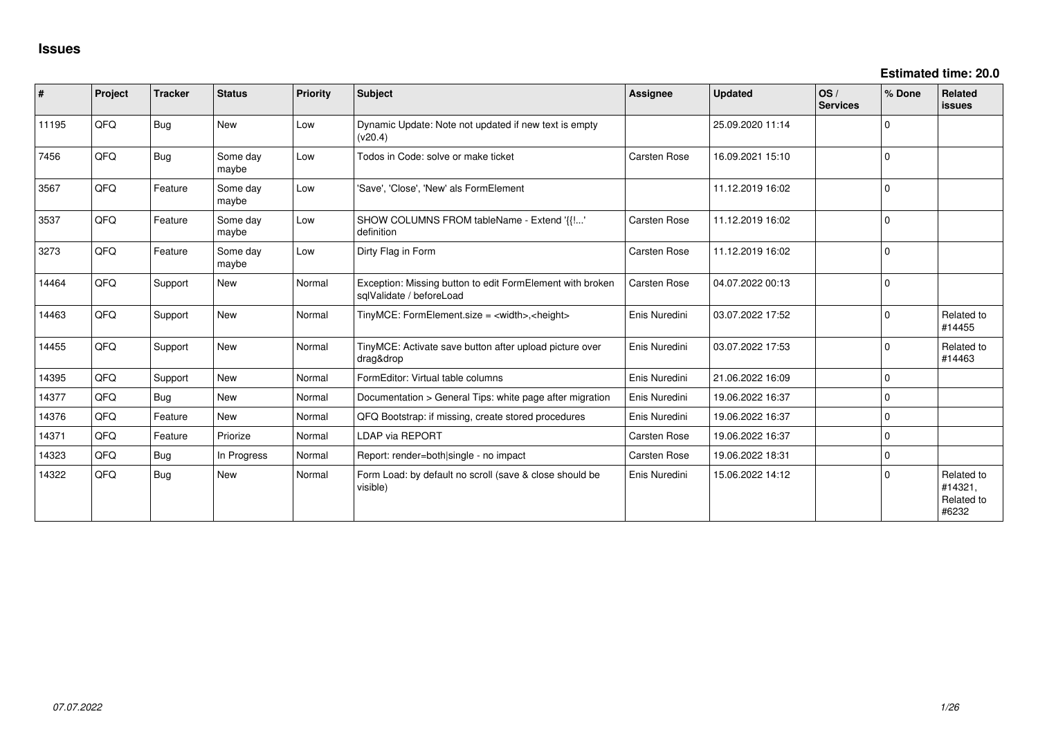**Estimated time: 20.0**

| ∦     | Project | <b>Tracker</b> | <b>Status</b>     | Priority | <b>Subject</b>                                                                        | <b>Assignee</b>     | <b>Updated</b>   | OS/<br><b>Services</b> | % Done   | Related<br><b>issues</b>                     |
|-------|---------|----------------|-------------------|----------|---------------------------------------------------------------------------------------|---------------------|------------------|------------------------|----------|----------------------------------------------|
| 11195 | QFQ     | Bug            | <b>New</b>        | Low      | Dynamic Update: Note not updated if new text is empty<br>(v20.4)                      |                     | 25.09.2020 11:14 |                        | $\Omega$ |                                              |
| 7456  | QFQ     | Bug            | Some day<br>maybe | Low      | Todos in Code: solve or make ticket                                                   | <b>Carsten Rose</b> | 16.09.2021 15:10 |                        | $\Omega$ |                                              |
| 3567  | QFQ     | Feature        | Some day<br>maybe | Low      | 'Save', 'Close', 'New' als FormElement                                                |                     | 11.12.2019 16:02 |                        | 0        |                                              |
| 3537  | QFQ     | Feature        | Some day<br>maybe | Low      | SHOW COLUMNS FROM tableName - Extend '{{!'<br>definition                              | <b>Carsten Rose</b> | 11.12.2019 16:02 |                        | $\Omega$ |                                              |
| 3273  | QFQ     | Feature        | Some day<br>maybe | Low      | Dirty Flag in Form                                                                    | Carsten Rose        | 11.12.2019 16:02 |                        | $\Omega$ |                                              |
| 14464 | QFQ     | Support        | <b>New</b>        | Normal   | Exception: Missing button to edit FormElement with broken<br>sqlValidate / beforeLoad | <b>Carsten Rose</b> | 04.07.2022 00:13 |                        | $\Omega$ |                                              |
| 14463 | QFQ     | Support        | <b>New</b>        | Normal   | TinyMCE: FormElement.size = <width>,<height></height></width>                         | Enis Nuredini       | 03.07.2022 17:52 |                        | $\Omega$ | Related to<br>#14455                         |
| 14455 | QFQ     | Support        | <b>New</b>        | Normal   | TinyMCE: Activate save button after upload picture over<br>drag&drop                  | Enis Nuredini       | 03.07.2022 17:53 |                        | $\Omega$ | Related to<br>#14463                         |
| 14395 | QFQ     | Support        | <b>New</b>        | Normal   | FormEditor: Virtual table columns                                                     | Enis Nuredini       | 21.06.2022 16:09 |                        | $\Omega$ |                                              |
| 14377 | QFQ     | Bug            | <b>New</b>        | Normal   | Documentation > General Tips: white page after migration                              | Enis Nuredini       | 19.06.2022 16:37 |                        | 0        |                                              |
| 14376 | QFQ     | Feature        | <b>New</b>        | Normal   | QFQ Bootstrap: if missing, create stored procedures                                   | Enis Nuredini       | 19.06.2022 16:37 |                        | $\Omega$ |                                              |
| 14371 | QFQ     | Feature        | Priorize          | Normal   | LDAP via REPORT                                                                       | <b>Carsten Rose</b> | 19.06.2022 16:37 |                        | $\Omega$ |                                              |
| 14323 | QFQ     | Bug            | In Progress       | Normal   | Report: render=both single - no impact                                                | <b>Carsten Rose</b> | 19.06.2022 18:31 |                        | $\Omega$ |                                              |
| 14322 | QFQ     | Bug            | <b>New</b>        | Normal   | Form Load: by default no scroll (save & close should be<br>visible)                   | Enis Nuredini       | 15.06.2022 14:12 |                        | $\Omega$ | Related to<br>#14321,<br>Related to<br>#6232 |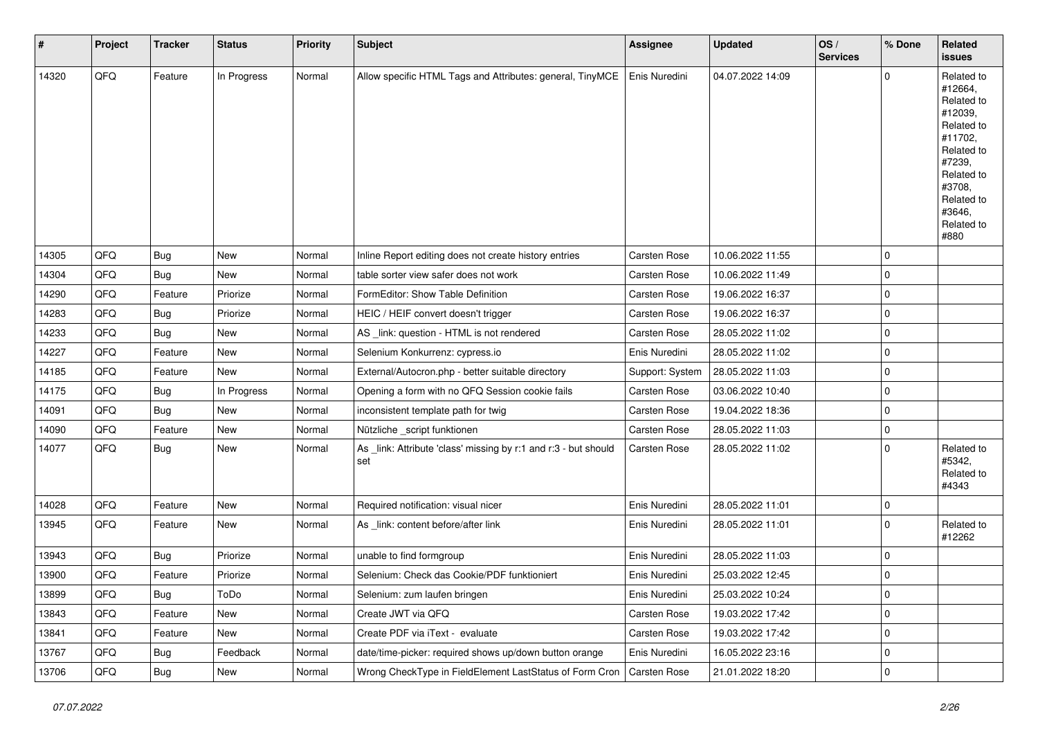| #     | Project | <b>Tracker</b> | <b>Status</b> | <b>Priority</b> | <b>Subject</b>                                                         | <b>Assignee</b>     | <b>Updated</b>   | OS/<br><b>Services</b> | % Done      | Related<br>issues                                                                                                                                                     |
|-------|---------|----------------|---------------|-----------------|------------------------------------------------------------------------|---------------------|------------------|------------------------|-------------|-----------------------------------------------------------------------------------------------------------------------------------------------------------------------|
| 14320 | QFQ     | Feature        | In Progress   | Normal          | Allow specific HTML Tags and Attributes: general, TinyMCE              | Enis Nuredini       | 04.07.2022 14:09 |                        | $\Omega$    | Related to<br>#12664,<br>Related to<br>#12039,<br>Related to<br>#11702,<br>Related to<br>#7239,<br>Related to<br>#3708,<br>Related to<br>#3646,<br>Related to<br>#880 |
| 14305 | QFQ     | Bug            | New           | Normal          | Inline Report editing does not create history entries                  | Carsten Rose        | 10.06.2022 11:55 |                        | $\mathbf 0$ |                                                                                                                                                                       |
| 14304 | QFQ     | Bug            | New           | Normal          | table sorter view safer does not work                                  | <b>Carsten Rose</b> | 10.06.2022 11:49 |                        | $\mathbf 0$ |                                                                                                                                                                       |
| 14290 | QFQ     | Feature        | Priorize      | Normal          | FormEditor: Show Table Definition                                      | Carsten Rose        | 19.06.2022 16:37 |                        | 0           |                                                                                                                                                                       |
| 14283 | QFQ     | Bug            | Priorize      | Normal          | HEIC / HEIF convert doesn't trigger                                    | <b>Carsten Rose</b> | 19.06.2022 16:37 |                        | $\mathbf 0$ |                                                                                                                                                                       |
| 14233 | QFQ     | Bug            | New           | Normal          | AS link: question - HTML is not rendered                               | Carsten Rose        | 28.05.2022 11:02 |                        | $\mathbf 0$ |                                                                                                                                                                       |
| 14227 | QFQ     | Feature        | New           | Normal          | Selenium Konkurrenz: cypress.io                                        | Enis Nuredini       | 28.05.2022 11:02 |                        | 0           |                                                                                                                                                                       |
| 14185 | QFQ     | Feature        | New           | Normal          | External/Autocron.php - better suitable directory                      | Support: System     | 28.05.2022 11:03 |                        | $\mathbf 0$ |                                                                                                                                                                       |
| 14175 | QFQ     | Bug            | In Progress   | Normal          | Opening a form with no QFQ Session cookie fails                        | <b>Carsten Rose</b> | 03.06.2022 10:40 |                        | 0           |                                                                                                                                                                       |
| 14091 | QFQ     | Bug            | New           | Normal          | inconsistent template path for twig                                    | Carsten Rose        | 19.04.2022 18:36 |                        | 0           |                                                                                                                                                                       |
| 14090 | QFQ     | Feature        | New           | Normal          | Nützliche _script funktionen                                           | Carsten Rose        | 28.05.2022 11:03 |                        | $\mathbf 0$ |                                                                                                                                                                       |
| 14077 | QFQ     | Bug            | New           | Normal          | As _link: Attribute 'class' missing by r:1 and r:3 - but should<br>set | <b>Carsten Rose</b> | 28.05.2022 11:02 |                        | $\Omega$    | Related to<br>#5342,<br>Related to<br>#4343                                                                                                                           |
| 14028 | QFQ     | Feature        | New           | Normal          | Required notification: visual nicer                                    | Enis Nuredini       | 28.05.2022 11:01 |                        | $\mathbf 0$ |                                                                                                                                                                       |
| 13945 | QFQ     | Feature        | New           | Normal          | As link: content before/after link                                     | Enis Nuredini       | 28.05.2022 11:01 |                        | $\Omega$    | Related to<br>#12262                                                                                                                                                  |
| 13943 | QFQ     | Bug            | Priorize      | Normal          | unable to find formgroup                                               | Enis Nuredini       | 28.05.2022 11:03 |                        | $\mathbf 0$ |                                                                                                                                                                       |
| 13900 | QFQ     | Feature        | Priorize      | Normal          | Selenium: Check das Cookie/PDF funktioniert                            | Enis Nuredini       | 25.03.2022 12:45 |                        | $\mathbf 0$ |                                                                                                                                                                       |
| 13899 | QFQ     | <b>Bug</b>     | ToDo          | Normal          | Selenium: zum laufen bringen                                           | Enis Nuredini       | 25.03.2022 10:24 |                        | 0           |                                                                                                                                                                       |
| 13843 | QFQ     | Feature        | New           | Normal          | Create JWT via QFQ                                                     | Carsten Rose        | 19.03.2022 17:42 |                        | $\mathbf 0$ |                                                                                                                                                                       |
| 13841 | QFQ     | Feature        | New           | Normal          | Create PDF via iText - evaluate                                        | Carsten Rose        | 19.03.2022 17:42 |                        | $\mathbf 0$ |                                                                                                                                                                       |
| 13767 | QFQ     | <b>Bug</b>     | Feedback      | Normal          | date/time-picker: required shows up/down button orange                 | Enis Nuredini       | 16.05.2022 23:16 |                        | 0           |                                                                                                                                                                       |
| 13706 | QFQ     | Bug            | New           | Normal          | Wrong CheckType in FieldElement LastStatus of Form Cron                | <b>Carsten Rose</b> | 21.01.2022 18:20 |                        | 0           |                                                                                                                                                                       |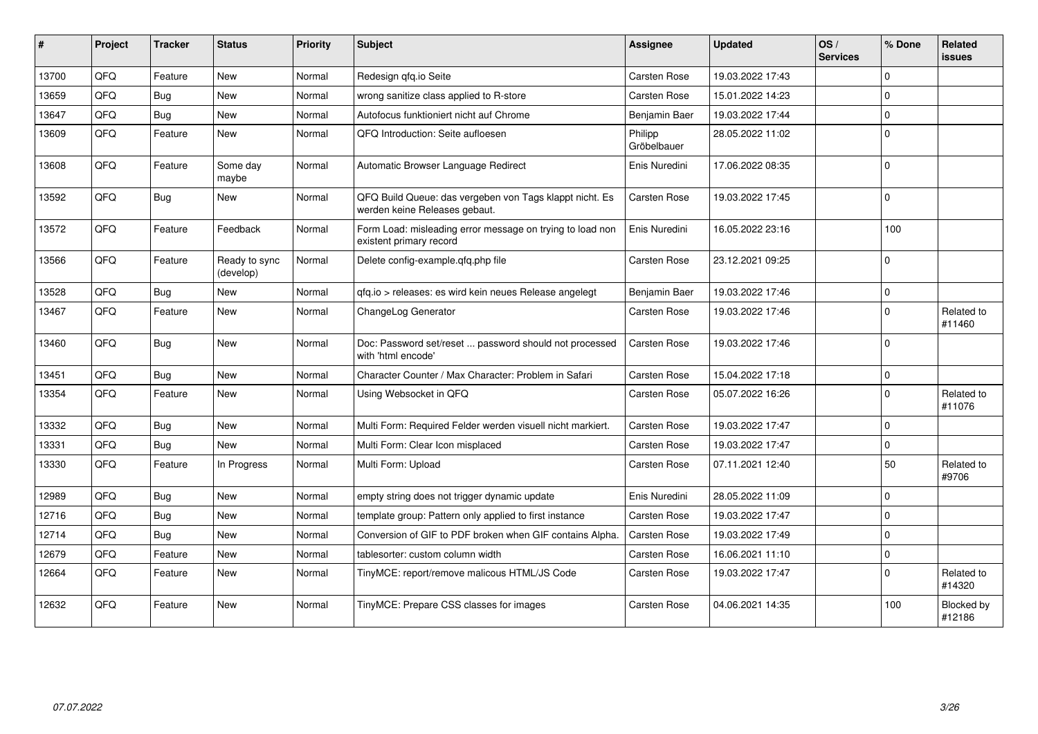| #     | Project | <b>Tracker</b> | <b>Status</b>              | <b>Priority</b> | <b>Subject</b>                                                                           | Assignee               | <b>Updated</b>   | OS/<br><b>Services</b> | % Done   | Related<br>issues    |
|-------|---------|----------------|----------------------------|-----------------|------------------------------------------------------------------------------------------|------------------------|------------------|------------------------|----------|----------------------|
| 13700 | QFQ     | Feature        | <b>New</b>                 | Normal          | Redesign qfq.io Seite                                                                    | Carsten Rose           | 19.03.2022 17:43 |                        | $\Omega$ |                      |
| 13659 | QFQ     | Bug            | <b>New</b>                 | Normal          | wrong sanitize class applied to R-store                                                  | <b>Carsten Rose</b>    | 15.01.2022 14:23 |                        | $\Omega$ |                      |
| 13647 | QFQ     | Bug            | New                        | Normal          | Autofocus funktioniert nicht auf Chrome                                                  | Benjamin Baer          | 19.03.2022 17:44 |                        | $\Omega$ |                      |
| 13609 | QFQ     | Feature        | <b>New</b>                 | Normal          | QFQ Introduction: Seite aufloesen                                                        | Philipp<br>Gröbelbauer | 28.05.2022 11:02 |                        | $\Omega$ |                      |
| 13608 | QFQ     | Feature        | Some day<br>maybe          | Normal          | Automatic Browser Language Redirect                                                      | Enis Nuredini          | 17.06.2022 08:35 |                        | $\Omega$ |                      |
| 13592 | QFQ     | Bug            | New                        | Normal          | QFQ Build Queue: das vergeben von Tags klappt nicht. Es<br>werden keine Releases gebaut. | Carsten Rose           | 19.03.2022 17:45 |                        | $\Omega$ |                      |
| 13572 | QFQ     | Feature        | Feedback                   | Normal          | Form Load: misleading error message on trying to load non<br>existent primary record     | Enis Nuredini          | 16.05.2022 23:16 |                        | 100      |                      |
| 13566 | QFQ     | Feature        | Ready to sync<br>(develop) | Normal          | Delete config-example.qfq.php file                                                       | Carsten Rose           | 23.12.2021 09:25 |                        | $\Omega$ |                      |
| 13528 | QFQ     | <b>Bug</b>     | <b>New</b>                 | Normal          | gfg.io > releases: es wird kein neues Release angelegt                                   | Benjamin Baer          | 19.03.2022 17:46 |                        | $\Omega$ |                      |
| 13467 | QFQ     | Feature        | <b>New</b>                 | Normal          | ChangeLog Generator                                                                      | <b>Carsten Rose</b>    | 19.03.2022 17:46 |                        | $\Omega$ | Related to<br>#11460 |
| 13460 | QFQ     | Bug            | <b>New</b>                 | Normal          | Doc: Password set/reset  password should not processed<br>with 'html encode'             | <b>Carsten Rose</b>    | 19.03.2022 17:46 |                        | $\Omega$ |                      |
| 13451 | QFQ     | <b>Bug</b>     | <b>New</b>                 | Normal          | Character Counter / Max Character: Problem in Safari                                     | Carsten Rose           | 15.04.2022 17:18 |                        | $\Omega$ |                      |
| 13354 | QFQ     | Feature        | New                        | Normal          | Using Websocket in QFQ                                                                   | Carsten Rose           | 05.07.2022 16:26 |                        | $\Omega$ | Related to<br>#11076 |
| 13332 | QFQ     | Bug            | <b>New</b>                 | Normal          | Multi Form: Required Felder werden visuell nicht markiert.                               | Carsten Rose           | 19.03.2022 17:47 |                        | $\Omega$ |                      |
| 13331 | QFQ     | <b>Bug</b>     | <b>New</b>                 | Normal          | Multi Form: Clear Icon misplaced                                                         | Carsten Rose           | 19.03.2022 17:47 |                        | $\Omega$ |                      |
| 13330 | QFQ     | Feature        | In Progress                | Normal          | Multi Form: Upload                                                                       | Carsten Rose           | 07.11.2021 12:40 |                        | 50       | Related to<br>#9706  |
| 12989 | QFQ     | Bug            | <b>New</b>                 | Normal          | empty string does not trigger dynamic update                                             | Enis Nuredini          | 28.05.2022 11:09 |                        | $\Omega$ |                      |
| 12716 | QFQ     | Bug            | <b>New</b>                 | Normal          | template group: Pattern only applied to first instance                                   | <b>Carsten Rose</b>    | 19.03.2022 17:47 |                        | $\Omega$ |                      |
| 12714 | QFQ     | Bug            | <b>New</b>                 | Normal          | Conversion of GIF to PDF broken when GIF contains Alpha.                                 | Carsten Rose           | 19.03.2022 17:49 |                        | $\Omega$ |                      |
| 12679 | QFQ     | Feature        | <b>New</b>                 | Normal          | tablesorter: custom column width                                                         | Carsten Rose           | 16.06.2021 11:10 |                        | $\Omega$ |                      |
| 12664 | QFQ     | Feature        | <b>New</b>                 | Normal          | TinyMCE: report/remove malicous HTML/JS Code                                             | Carsten Rose           | 19.03.2022 17:47 |                        | $\Omega$ | Related to<br>#14320 |
| 12632 | QFQ     | Feature        | <b>New</b>                 | Normal          | TinyMCE: Prepare CSS classes for images                                                  | <b>Carsten Rose</b>    | 04.06.2021 14:35 |                        | 100      | Blocked by<br>#12186 |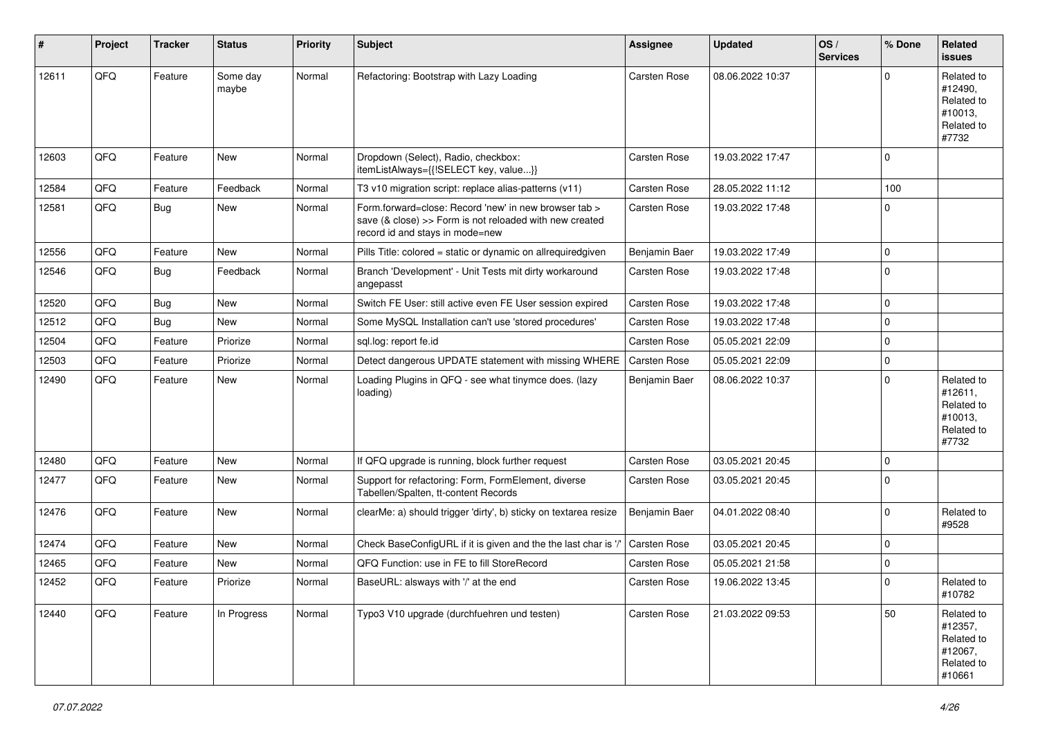| $\sharp$ | Project | <b>Tracker</b> | <b>Status</b>     | <b>Priority</b> | <b>Subject</b>                                                                                                                                      | Assignee            | <b>Updated</b>   | OS/<br><b>Services</b> | % Done      | Related<br><b>issues</b>                                               |
|----------|---------|----------------|-------------------|-----------------|-----------------------------------------------------------------------------------------------------------------------------------------------------|---------------------|------------------|------------------------|-------------|------------------------------------------------------------------------|
| 12611    | QFQ     | Feature        | Some day<br>maybe | Normal          | Refactoring: Bootstrap with Lazy Loading                                                                                                            | <b>Carsten Rose</b> | 08.06.2022 10:37 |                        | ∩           | Related to<br>#12490,<br>Related to<br>#10013,<br>Related to<br>#7732  |
| 12603    | QFQ     | Feature        | New               | Normal          | Dropdown (Select), Radio, checkbox:<br>itemListAlways={{!SELECT key, value}}                                                                        | <b>Carsten Rose</b> | 19.03.2022 17:47 |                        | $\Omega$    |                                                                        |
| 12584    | QFQ     | Feature        | Feedback          | Normal          | T3 v10 migration script: replace alias-patterns (v11)                                                                                               | Carsten Rose        | 28.05.2022 11:12 |                        | 100         |                                                                        |
| 12581    | QFQ     | <b>Bug</b>     | New               | Normal          | Form.forward=close: Record 'new' in new browser tab ><br>save (& close) >> Form is not reloaded with new created<br>record id and stays in mode=new | <b>Carsten Rose</b> | 19.03.2022 17:48 |                        | $\Omega$    |                                                                        |
| 12556    | QFQ     | Feature        | New               | Normal          | Pills Title: colored = static or dynamic on allrequiredgiven                                                                                        | Benjamin Baer       | 19.03.2022 17:49 |                        | $\mathbf 0$ |                                                                        |
| 12546    | QFQ     | Bug            | Feedback          | Normal          | Branch 'Development' - Unit Tests mit dirty workaround<br>angepasst                                                                                 | <b>Carsten Rose</b> | 19.03.2022 17:48 |                        | $\Omega$    |                                                                        |
| 12520    | QFQ     | Bug            | New               | Normal          | Switch FE User: still active even FE User session expired                                                                                           | <b>Carsten Rose</b> | 19.03.2022 17:48 |                        | $\mathbf 0$ |                                                                        |
| 12512    | QFQ     | <b>Bug</b>     | New               | Normal          | Some MySQL Installation can't use 'stored procedures'                                                                                               | Carsten Rose        | 19.03.2022 17:48 |                        | $\mathbf 0$ |                                                                        |
| 12504    | QFQ     | Feature        | Priorize          | Normal          | sql.log: report fe.id                                                                                                                               | <b>Carsten Rose</b> | 05.05.2021 22:09 |                        | $\mathbf 0$ |                                                                        |
| 12503    | QFQ     | Feature        | Priorize          | Normal          | Detect dangerous UPDATE statement with missing WHERE                                                                                                | <b>Carsten Rose</b> | 05.05.2021 22:09 |                        | $\mathbf 0$ |                                                                        |
| 12490    | QFQ     | Feature        | New               | Normal          | Loading Plugins in QFQ - see what tinymce does. (lazy<br>loading)                                                                                   | Benjamin Baer       | 08.06.2022 10:37 |                        | $\Omega$    | Related to<br>#12611,<br>Related to<br>#10013,<br>Related to<br>#7732  |
| 12480    | QFQ     | Feature        | New               | Normal          | If QFQ upgrade is running, block further request                                                                                                    | <b>Carsten Rose</b> | 03.05.2021 20:45 |                        | $\mathbf 0$ |                                                                        |
| 12477    | QFQ     | Feature        | New               | Normal          | Support for refactoring: Form, FormElement, diverse<br>Tabellen/Spalten, tt-content Records                                                         | Carsten Rose        | 03.05.2021 20:45 |                        | $\Omega$    |                                                                        |
| 12476    | QFQ     | Feature        | New               | Normal          | clearMe: a) should trigger 'dirty', b) sticky on textarea resize                                                                                    | Benjamin Baer       | 04.01.2022 08:40 |                        | $\Omega$    | Related to<br>#9528                                                    |
| 12474    | QFQ     | Feature        | New               | Normal          | Check BaseConfigURL if it is given and the the last char is '/'                                                                                     | Carsten Rose        | 03.05.2021 20:45 |                        | $\mathbf 0$ |                                                                        |
| 12465    | QFQ     | Feature        | New               | Normal          | QFQ Function: use in FE to fill StoreRecord                                                                                                         | Carsten Rose        | 05.05.2021 21:58 |                        | $\mathbf 0$ |                                                                        |
| 12452    | QFQ     | Feature        | Priorize          | Normal          | BaseURL: alsways with '/' at the end                                                                                                                | <b>Carsten Rose</b> | 19.06.2022 13:45 |                        | $\Omega$    | Related to<br>#10782                                                   |
| 12440    | QFQ     | Feature        | In Progress       | Normal          | Typo3 V10 upgrade (durchfuehren und testen)                                                                                                         | Carsten Rose        | 21.03.2022 09:53 |                        | 50          | Related to<br>#12357,<br>Related to<br>#12067,<br>Related to<br>#10661 |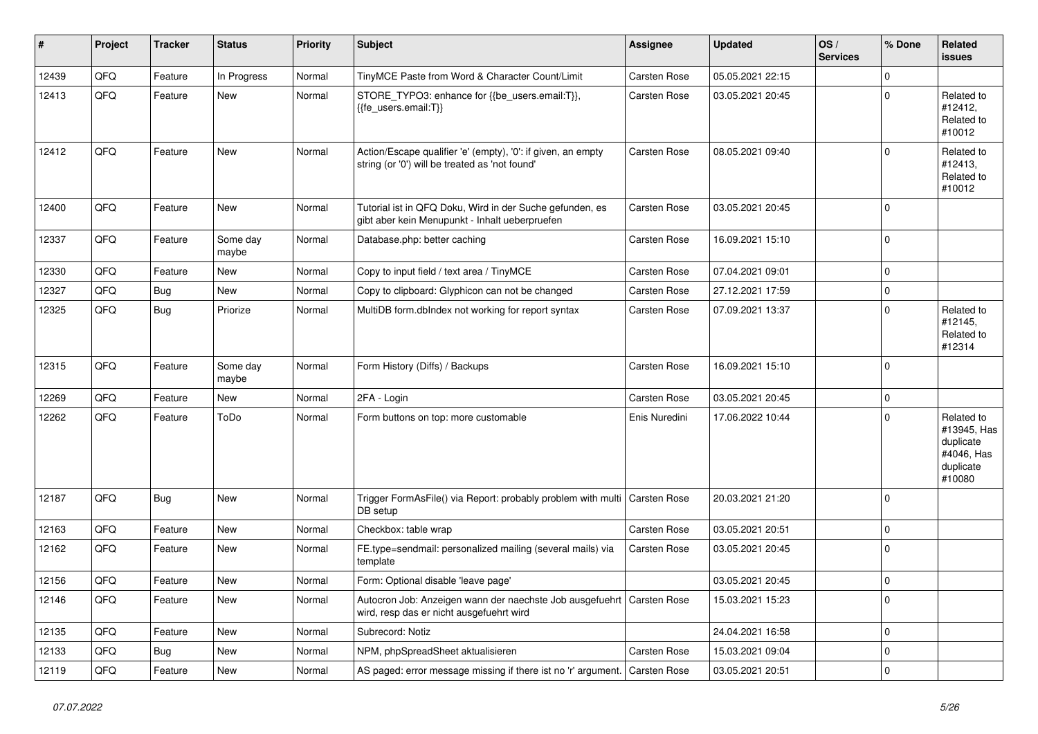| #     | Project | <b>Tracker</b> | <b>Status</b>     | <b>Priority</b> | <b>Subject</b>                                                                                                      | Assignee      | <b>Updated</b>   | OS/<br><b>Services</b> | % Done      | Related<br><b>issues</b>                                                    |
|-------|---------|----------------|-------------------|-----------------|---------------------------------------------------------------------------------------------------------------------|---------------|------------------|------------------------|-------------|-----------------------------------------------------------------------------|
| 12439 | QFQ     | Feature        | In Progress       | Normal          | TinyMCE Paste from Word & Character Count/Limit                                                                     | Carsten Rose  | 05.05.2021 22:15 |                        | $\Omega$    |                                                                             |
| 12413 | QFQ     | Feature        | New               | Normal          | STORE_TYPO3: enhance for {{be_users.email:T}},<br>{{fe users.email:T}}                                              | Carsten Rose  | 03.05.2021 20:45 |                        | $\Omega$    | Related to<br>#12412,<br>Related to<br>#10012                               |
| 12412 | QFQ     | Feature        | <b>New</b>        | Normal          | Action/Escape qualifier 'e' (empty), '0': if given, an empty<br>string (or '0') will be treated as 'not found'      | Carsten Rose  | 08.05.2021 09:40 |                        | $\Omega$    | Related to<br>#12413,<br>Related to<br>#10012                               |
| 12400 | QFQ     | Feature        | New               | Normal          | Tutorial ist in QFQ Doku, Wird in der Suche gefunden, es<br>gibt aber kein Menupunkt - Inhalt ueberpruefen          | Carsten Rose  | 03.05.2021 20:45 |                        | $\mathbf 0$ |                                                                             |
| 12337 | QFQ     | Feature        | Some day<br>maybe | Normal          | Database.php: better caching                                                                                        | Carsten Rose  | 16.09.2021 15:10 |                        | 0           |                                                                             |
| 12330 | QFQ     | Feature        | New               | Normal          | Copy to input field / text area / TinyMCE                                                                           | Carsten Rose  | 07.04.2021 09:01 |                        | $\mathbf 0$ |                                                                             |
| 12327 | QFQ     | Bug            | New               | Normal          | Copy to clipboard: Glyphicon can not be changed                                                                     | Carsten Rose  | 27.12.2021 17:59 |                        | $\mathbf 0$ |                                                                             |
| 12325 | QFQ     | <b>Bug</b>     | Priorize          | Normal          | MultiDB form.dblndex not working for report syntax                                                                  | Carsten Rose  | 07.09.2021 13:37 |                        | $\Omega$    | Related to<br>#12145,<br>Related to<br>#12314                               |
| 12315 | QFQ     | Feature        | Some day<br>maybe | Normal          | Form History (Diffs) / Backups                                                                                      | Carsten Rose  | 16.09.2021 15:10 |                        | $\Omega$    |                                                                             |
| 12269 | QFQ     | Feature        | New               | Normal          | 2FA - Login                                                                                                         | Carsten Rose  | 03.05.2021 20:45 |                        | $\Omega$    |                                                                             |
| 12262 | QFQ     | Feature        | ToDo              | Normal          | Form buttons on top: more customable                                                                                | Enis Nuredini | 17.06.2022 10:44 |                        | $\Omega$    | Related to<br>#13945, Has<br>duplicate<br>#4046, Has<br>duplicate<br>#10080 |
| 12187 | QFQ     | <b>Bug</b>     | New               | Normal          | Trigger FormAsFile() via Report: probably problem with multi<br>DB setup                                            | Carsten Rose  | 20.03.2021 21:20 |                        | $\Omega$    |                                                                             |
| 12163 | QFQ     | Feature        | New               | Normal          | Checkbox: table wrap                                                                                                | Carsten Rose  | 03.05.2021 20:51 |                        | $\mathbf 0$ |                                                                             |
| 12162 | QFQ     | Feature        | New               | Normal          | FE.type=sendmail: personalized mailing (several mails) via<br>template                                              | Carsten Rose  | 03.05.2021 20:45 |                        | $\mathbf 0$ |                                                                             |
| 12156 | QFQ     | Feature        | New               | Normal          | Form: Optional disable 'leave page'                                                                                 |               | 03.05.2021 20:45 |                        | 0           |                                                                             |
| 12146 | QFQ     | Feature        | New               | Normal          | Autocron Job: Anzeigen wann der naechste Job ausgefuehrt   Carsten Rose<br>wird, resp das er nicht ausgefuehrt wird |               | 15.03.2021 15:23 |                        | 0           |                                                                             |
| 12135 | QFQ     | Feature        | New               | Normal          | Subrecord: Notiz                                                                                                    |               | 24.04.2021 16:58 |                        | $\mathbf 0$ |                                                                             |
| 12133 | QFQ     | <b>Bug</b>     | New               | Normal          | NPM, phpSpreadSheet aktualisieren                                                                                   | Carsten Rose  | 15.03.2021 09:04 |                        | $\mathbf 0$ |                                                                             |
| 12119 | QFQ     | Feature        | New               | Normal          | AS paged: error message missing if there ist no 'r' argument.                                                       | Carsten Rose  | 03.05.2021 20:51 |                        | $\pmb{0}$   |                                                                             |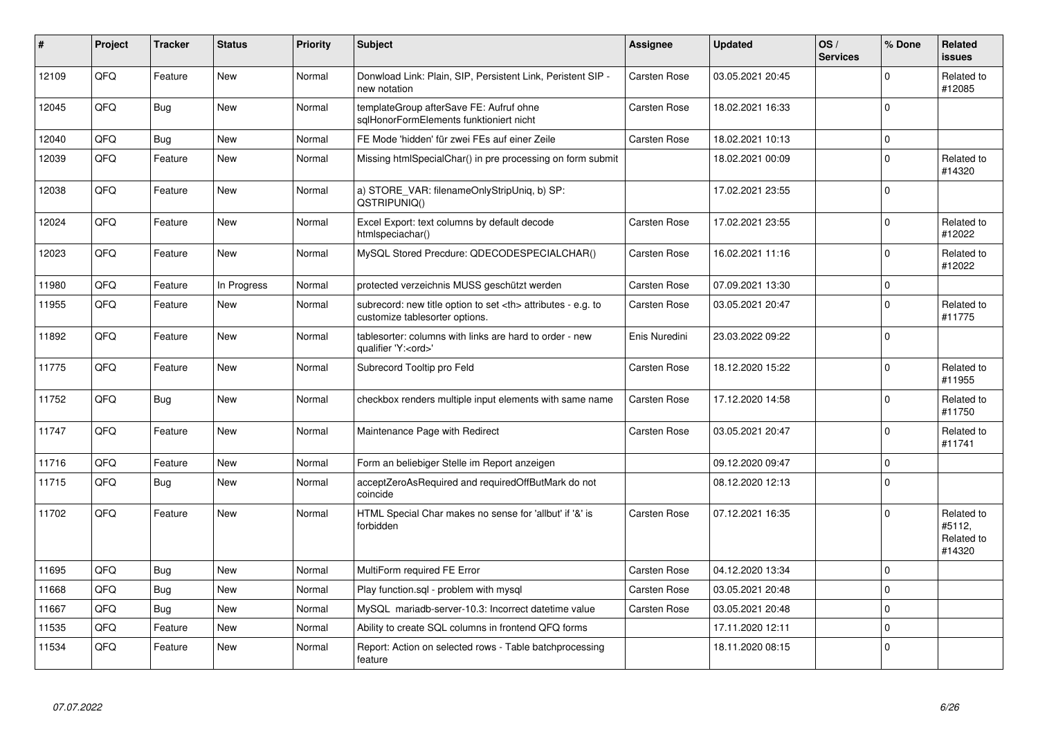| $\pmb{\sharp}$ | Project | <b>Tracker</b> | <b>Status</b> | <b>Priority</b> | <b>Subject</b>                                                                                       | Assignee                                               | <b>Updated</b>   | OS/<br><b>Services</b> | % Done      | <b>Related</b><br><b>issues</b>              |                      |
|----------------|---------|----------------|---------------|-----------------|------------------------------------------------------------------------------------------------------|--------------------------------------------------------|------------------|------------------------|-------------|----------------------------------------------|----------------------|
| 12109          | QFQ     | Feature        | New           | Normal          | Donwload Link: Plain, SIP, Persistent Link, Peristent SIP -<br>new notation                          | <b>Carsten Rose</b>                                    | 03.05.2021 20:45 |                        | $\mathbf 0$ | Related to<br>#12085                         |                      |
| 12045          | QFQ     | <b>Bug</b>     | New           | Normal          | templateGroup afterSave FE: Aufruf ohne<br>sglHonorFormElements funktioniert nicht                   | <b>Carsten Rose</b>                                    | 18.02.2021 16:33 |                        | $\mathbf 0$ |                                              |                      |
| 12040          | QFQ     | <b>Bug</b>     | New           | Normal          | FE Mode 'hidden' für zwei FEs auf einer Zeile                                                        | Carsten Rose                                           | 18.02.2021 10:13 |                        | $\pmb{0}$   |                                              |                      |
| 12039          | QFQ     | Feature        | New           | Normal          | Missing htmlSpecialChar() in pre processing on form submit                                           |                                                        | 18.02.2021 00:09 |                        | $\mathbf 0$ | Related to<br>#14320                         |                      |
| 12038          | QFQ     | Feature        | <b>New</b>    | Normal          | a) STORE VAR: filenameOnlyStripUniq, b) SP:<br>QSTRIPUNIQ()                                          |                                                        | 17.02.2021 23:55 |                        | $\mathbf 0$ |                                              |                      |
| 12024          | QFQ     | Feature        | <b>New</b>    | Normal          | Excel Export: text columns by default decode<br>htmlspeciachar()                                     | <b>Carsten Rose</b>                                    | 17.02.2021 23:55 |                        | $\Omega$    | Related to<br>#12022                         |                      |
| 12023          | QFQ     | Feature        | <b>New</b>    | Normal          | MySQL Stored Precdure: QDECODESPECIALCHAR()                                                          | Carsten Rose                                           | 16.02.2021 11:16 |                        | $\mathbf 0$ | Related to<br>#12022                         |                      |
| 11980          | QFQ     | Feature        | In Progress   | Normal          | protected verzeichnis MUSS geschützt werden                                                          | <b>Carsten Rose</b>                                    | 07.09.2021 13:30 |                        | $\pmb{0}$   |                                              |                      |
| 11955          | QFQ     | Feature        | <b>New</b>    | Normal          | subrecord: new title option to set <th> attributes - e.g. to<br/>customize tablesorter options.</th> | attributes - e.g. to<br>customize tablesorter options. | Carsten Rose     | 03.05.2021 20:47       |             | $\mathbf 0$                                  | Related to<br>#11775 |
| 11892          | QFQ     | Feature        | New           | Normal          | tablesorter: columns with links are hard to order - new<br>qualifier 'Y: <ord>'</ord>                | Enis Nuredini                                          | 23.03.2022 09:22 |                        | $\mathbf 0$ |                                              |                      |
| 11775          | QFQ     | Feature        | New           | Normal          | Subrecord Tooltip pro Feld                                                                           | Carsten Rose                                           | 18.12.2020 15:22 |                        | $\mathbf 0$ | Related to<br>#11955                         |                      |
| 11752          | QFQ     | Bug            | New           | Normal          | checkbox renders multiple input elements with same name                                              | Carsten Rose                                           | 17.12.2020 14:58 |                        | $\Omega$    | Related to<br>#11750                         |                      |
| 11747          | QFQ     | Feature        | New           | Normal          | Maintenance Page with Redirect                                                                       | <b>Carsten Rose</b>                                    | 03.05.2021 20:47 |                        | $\mathbf 0$ | Related to<br>#11741                         |                      |
| 11716          | QFQ     | Feature        | <b>New</b>    | Normal          | Form an beliebiger Stelle im Report anzeigen                                                         |                                                        | 09.12.2020 09:47 |                        | $\pmb{0}$   |                                              |                      |
| 11715          | QFQ     | Bug            | New           | Normal          | acceptZeroAsRequired and requiredOffButMark do not<br>coincide                                       |                                                        | 08.12.2020 12:13 |                        | $\Omega$    |                                              |                      |
| 11702          | QFQ     | Feature        | <b>New</b>    | Normal          | HTML Special Char makes no sense for 'allbut' if '&' is<br>forbidden                                 | Carsten Rose                                           | 07.12.2021 16:35 |                        | $\Omega$    | Related to<br>#5112,<br>Related to<br>#14320 |                      |
| 11695          | QFQ     | Bug            | <b>New</b>    | Normal          | MultiForm required FE Error                                                                          | <b>Carsten Rose</b>                                    | 04.12.2020 13:34 |                        | $\mathbf 0$ |                                              |                      |
| 11668          | QFQ     | <b>Bug</b>     | New           | Normal          | Play function.sql - problem with mysql                                                               | Carsten Rose                                           | 03.05.2021 20:48 |                        | $\pmb{0}$   |                                              |                      |
| 11667          | QFQ     | Bug            | <b>New</b>    | Normal          | MySQL mariadb-server-10.3: Incorrect datetime value                                                  | <b>Carsten Rose</b>                                    | 03.05.2021 20:48 |                        | $\mathbf 0$ |                                              |                      |
| 11535          | QFQ     | Feature        | <b>New</b>    | Normal          | Ability to create SQL columns in frontend QFQ forms                                                  |                                                        | 17.11.2020 12:11 |                        | $\pmb{0}$   |                                              |                      |
| 11534          | QFQ     | Feature        | New           | Normal          | Report: Action on selected rows - Table batchprocessing<br>feature                                   |                                                        | 18.11.2020 08:15 |                        | $\mathbf 0$ |                                              |                      |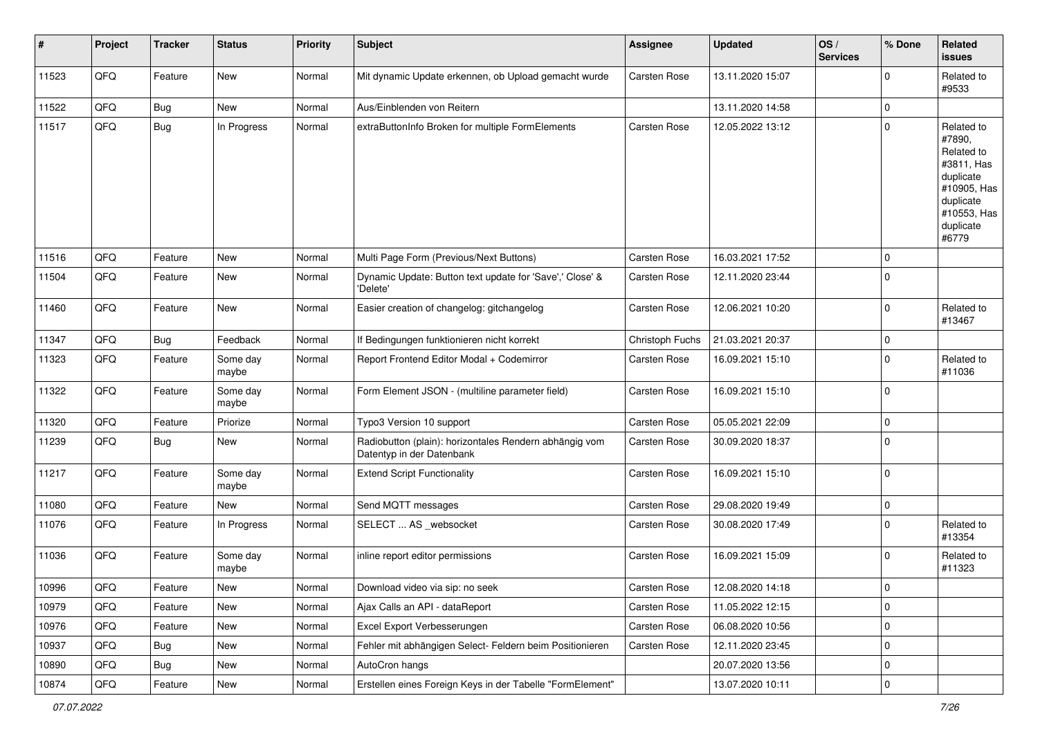| ∦     | Project | <b>Tracker</b> | <b>Status</b>     | <b>Priority</b> | <b>Subject</b>                                                                      | <b>Assignee</b>     | <b>Updated</b>   | OS/<br><b>Services</b> | % Done      | Related<br><b>issues</b>                                                                                                       |
|-------|---------|----------------|-------------------|-----------------|-------------------------------------------------------------------------------------|---------------------|------------------|------------------------|-------------|--------------------------------------------------------------------------------------------------------------------------------|
| 11523 | QFQ     | Feature        | New               | Normal          | Mit dynamic Update erkennen, ob Upload gemacht wurde                                | <b>Carsten Rose</b> | 13.11.2020 15:07 |                        | $\Omega$    | Related to<br>#9533                                                                                                            |
| 11522 | QFQ     | Bug            | New               | Normal          | Aus/Einblenden von Reitern                                                          |                     | 13.11.2020 14:58 |                        | $\mathbf 0$ |                                                                                                                                |
| 11517 | QFQ     | Bug            | In Progress       | Normal          | extraButtonInfo Broken for multiple FormElements                                    | Carsten Rose        | 12.05.2022 13:12 |                        | $\Omega$    | Related to<br>#7890,<br>Related to<br>#3811, Has<br>duplicate<br>#10905, Has<br>duplicate<br>#10553, Has<br>duplicate<br>#6779 |
| 11516 | QFQ     | Feature        | <b>New</b>        | Normal          | Multi Page Form (Previous/Next Buttons)                                             | Carsten Rose        | 16.03.2021 17:52 |                        | 0           |                                                                                                                                |
| 11504 | QFQ     | Feature        | New               | Normal          | Dynamic Update: Button text update for 'Save',' Close' &<br>'Delete'                | Carsten Rose        | 12.11.2020 23:44 |                        | $\Omega$    |                                                                                                                                |
| 11460 | QFQ     | Feature        | New               | Normal          | Easier creation of changelog: gitchangelog                                          | Carsten Rose        | 12.06.2021 10:20 |                        | $\mathbf 0$ | Related to<br>#13467                                                                                                           |
| 11347 | QFQ     | Bug            | Feedback          | Normal          | If Bedingungen funktionieren nicht korrekt                                          | Christoph Fuchs     | 21.03.2021 20:37 |                        | $\Omega$    |                                                                                                                                |
| 11323 | QFQ     | Feature        | Some day<br>maybe | Normal          | Report Frontend Editor Modal + Codemirror                                           | Carsten Rose        | 16.09.2021 15:10 |                        | $\Omega$    | Related to<br>#11036                                                                                                           |
| 11322 | QFQ     | Feature        | Some day<br>maybe | Normal          | Form Element JSON - (multiline parameter field)                                     | Carsten Rose        | 16.09.2021 15:10 |                        | $\Omega$    |                                                                                                                                |
| 11320 | QFQ     | Feature        | Priorize          | Normal          | Typo3 Version 10 support                                                            | Carsten Rose        | 05.05.2021 22:09 |                        | $\mathbf 0$ |                                                                                                                                |
| 11239 | QFQ     | <b>Bug</b>     | New               | Normal          | Radiobutton (plain): horizontales Rendern abhängig vom<br>Datentyp in der Datenbank | Carsten Rose        | 30.09.2020 18:37 |                        | $\Omega$    |                                                                                                                                |
| 11217 | QFQ     | Feature        | Some day<br>maybe | Normal          | <b>Extend Script Functionality</b>                                                  | Carsten Rose        | 16.09.2021 15:10 |                        | $\Omega$    |                                                                                                                                |
| 11080 | QFQ     | Feature        | New               | Normal          | Send MQTT messages                                                                  | Carsten Rose        | 29.08.2020 19:49 |                        | $\mathbf 0$ |                                                                                                                                |
| 11076 | QFQ     | Feature        | In Progress       | Normal          | SELECT  AS _websocket                                                               | Carsten Rose        | 30.08.2020 17:49 |                        | $\Omega$    | Related to<br>#13354                                                                                                           |
| 11036 | QFQ     | Feature        | Some day<br>maybe | Normal          | inline report editor permissions                                                    | Carsten Rose        | 16.09.2021 15:09 |                        | $\Omega$    | Related to<br>#11323                                                                                                           |
| 10996 | QFQ     | Feature        | New               | Normal          | Download video via sip: no seek                                                     | Carsten Rose        | 12.08.2020 14:18 |                        | $\pmb{0}$   |                                                                                                                                |
| 10979 | QFQ     | Feature        | New               | Normal          | Ajax Calls an API - dataReport                                                      | Carsten Rose        | 11.05.2022 12:15 |                        | 0           |                                                                                                                                |
| 10976 | QFG     | Feature        | New               | Normal          | Excel Export Verbesserungen                                                         | Carsten Rose        | 06.08.2020 10:56 |                        | 0           |                                                                                                                                |
| 10937 | QFQ     | Bug            | New               | Normal          | Fehler mit abhängigen Select- Feldern beim Positionieren                            | Carsten Rose        | 12.11.2020 23:45 |                        | $\mathbf 0$ |                                                                                                                                |
| 10890 | QFQ     | Bug            | New               | Normal          | AutoCron hangs                                                                      |                     | 20.07.2020 13:56 |                        | 0           |                                                                                                                                |
| 10874 | QFQ     | Feature        | New               | Normal          | Erstellen eines Foreign Keys in der Tabelle "FormElement"                           |                     | 13.07.2020 10:11 |                        | 0           |                                                                                                                                |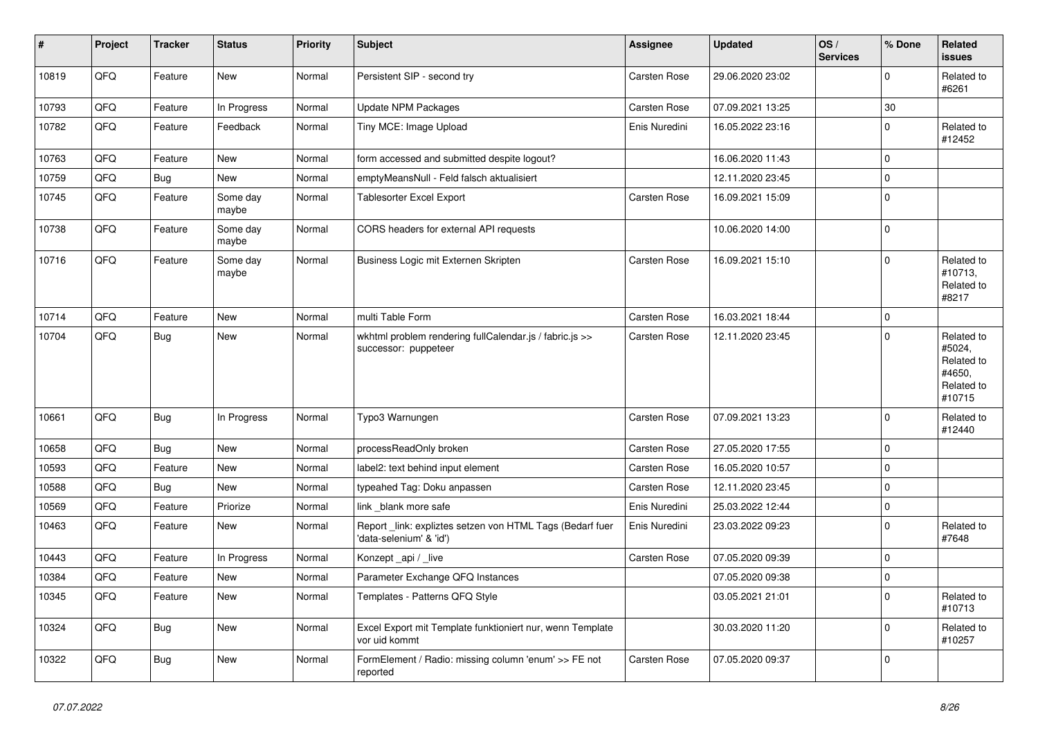| #     | Project | <b>Tracker</b> | <b>Status</b>     | <b>Priority</b> | <b>Subject</b>                                                                      | <b>Assignee</b>     | <b>Updated</b>   | OS/<br><b>Services</b> | % Done      | Related<br>issues                                                    |
|-------|---------|----------------|-------------------|-----------------|-------------------------------------------------------------------------------------|---------------------|------------------|------------------------|-------------|----------------------------------------------------------------------|
| 10819 | QFQ     | Feature        | New               | Normal          | Persistent SIP - second try                                                         | Carsten Rose        | 29.06.2020 23:02 |                        | $\mathbf 0$ | Related to<br>#6261                                                  |
| 10793 | QFQ     | Feature        | In Progress       | Normal          | Update NPM Packages                                                                 | Carsten Rose        | 07.09.2021 13:25 |                        | $30\,$      |                                                                      |
| 10782 | QFQ     | Feature        | Feedback          | Normal          | Tiny MCE: Image Upload                                                              | Enis Nuredini       | 16.05.2022 23:16 |                        | $\Omega$    | Related to<br>#12452                                                 |
| 10763 | QFQ     | Feature        | <b>New</b>        | Normal          | form accessed and submitted despite logout?                                         |                     | 16.06.2020 11:43 |                        | 0           |                                                                      |
| 10759 | QFQ     | Bug            | New               | Normal          | emptyMeansNull - Feld falsch aktualisiert                                           |                     | 12.11.2020 23:45 |                        | $\mathbf 0$ |                                                                      |
| 10745 | QFQ     | Feature        | Some day<br>maybe | Normal          | <b>Tablesorter Excel Export</b>                                                     | <b>Carsten Rose</b> | 16.09.2021 15:09 |                        | $\Omega$    |                                                                      |
| 10738 | QFQ     | Feature        | Some day<br>maybe | Normal          | CORS headers for external API requests                                              |                     | 10.06.2020 14:00 |                        | $\mathbf 0$ |                                                                      |
| 10716 | QFQ     | Feature        | Some day<br>maybe | Normal          | Business Logic mit Externen Skripten                                                | <b>Carsten Rose</b> | 16.09.2021 15:10 |                        | $\mathbf 0$ | Related to<br>#10713,<br>Related to<br>#8217                         |
| 10714 | QFQ     | Feature        | <b>New</b>        | Normal          | multi Table Form                                                                    | Carsten Rose        | 16.03.2021 18:44 |                        | $\mathbf 0$ |                                                                      |
| 10704 | QFQ     | Bug            | <b>New</b>        | Normal          | wkhtml problem rendering fullCalendar.js / fabric.js >><br>successor: puppeteer     | Carsten Rose        | 12.11.2020 23:45 |                        | $\Omega$    | Related to<br>#5024,<br>Related to<br>#4650,<br>Related to<br>#10715 |
| 10661 | QFQ     | Bug            | In Progress       | Normal          | Typo3 Warnungen                                                                     | <b>Carsten Rose</b> | 07.09.2021 13:23 |                        | 0           | Related to<br>#12440                                                 |
| 10658 | QFQ     | Bug            | <b>New</b>        | Normal          | processReadOnly broken                                                              | Carsten Rose        | 27.05.2020 17:55 |                        | $\mathbf 0$ |                                                                      |
| 10593 | QFQ     | Feature        | <b>New</b>        | Normal          | label2: text behind input element                                                   | Carsten Rose        | 16.05.2020 10:57 |                        | $\mathbf 0$ |                                                                      |
| 10588 | QFQ     | Bug            | New               | Normal          | typeahed Tag: Doku anpassen                                                         | Carsten Rose        | 12.11.2020 23:45 |                        | 0           |                                                                      |
| 10569 | QFQ     | Feature        | Priorize          | Normal          | link blank more safe                                                                | Enis Nuredini       | 25.03.2022 12:44 |                        | 0           |                                                                      |
| 10463 | QFQ     | Feature        | New               | Normal          | Report_link: expliztes setzen von HTML Tags (Bedarf fuer<br>'data-selenium' & 'id') | Enis Nuredini       | 23.03.2022 09:23 |                        | $\Omega$    | Related to<br>#7648                                                  |
| 10443 | QFQ     | Feature        | In Progress       | Normal          | Konzept_api / _live                                                                 | Carsten Rose        | 07.05.2020 09:39 |                        | 0           |                                                                      |
| 10384 | QFQ     | Feature        | New               | Normal          | Parameter Exchange QFQ Instances                                                    |                     | 07.05.2020 09:38 |                        | 0           |                                                                      |
| 10345 | QFG     | Feature        | New               | Normal          | Templates - Patterns QFQ Style                                                      |                     | 03.05.2021 21:01 |                        | 0           | Related to<br>#10713                                                 |
| 10324 | QFQ     | <b>Bug</b>     | New               | Normal          | Excel Export mit Template funktioniert nur, wenn Template<br>vor uid kommt          |                     | 30.03.2020 11:20 |                        | $\mathbf 0$ | Related to<br>#10257                                                 |
| 10322 | QFQ     | Bug            | New               | Normal          | FormElement / Radio: missing column 'enum' >> FE not<br>reported                    | Carsten Rose        | 07.05.2020 09:37 |                        | 0           |                                                                      |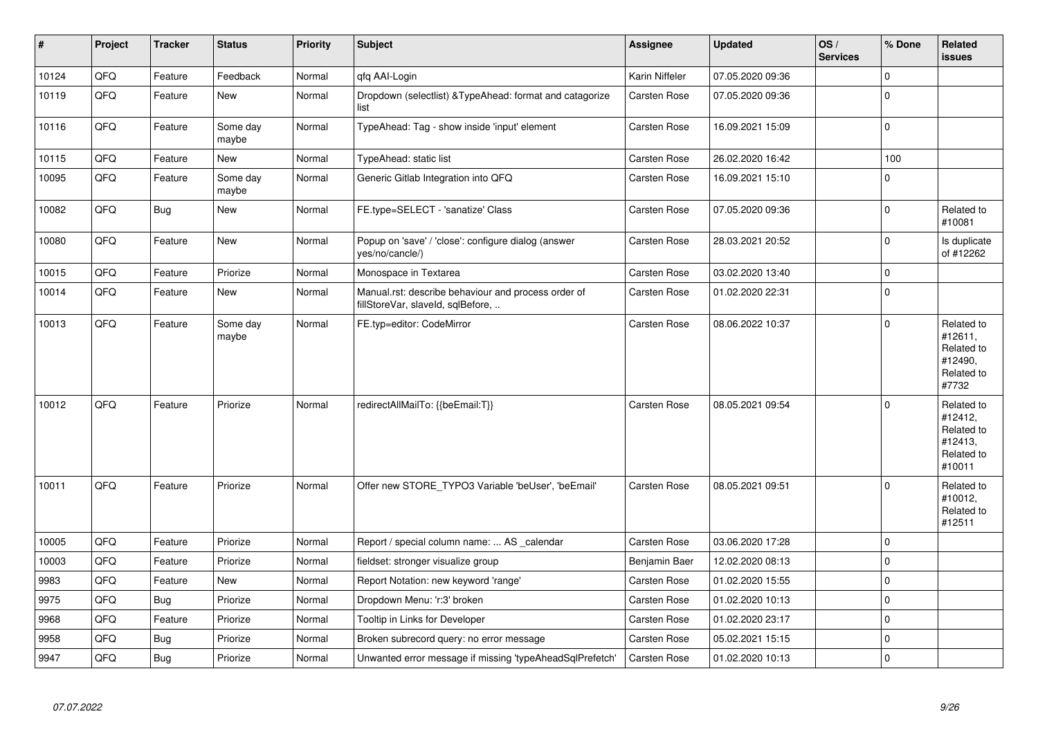| $\vert$ # | Project | <b>Tracker</b> | <b>Status</b>     | <b>Priority</b> | <b>Subject</b>                                                                           | <b>Assignee</b>     | <b>Updated</b>   | OS/<br><b>Services</b> | % Done      | Related<br><b>issues</b>                                               |
|-----------|---------|----------------|-------------------|-----------------|------------------------------------------------------------------------------------------|---------------------|------------------|------------------------|-------------|------------------------------------------------------------------------|
| 10124     | QFQ     | Feature        | Feedback          | Normal          | qfq AAI-Login                                                                            | Karin Niffeler      | 07.05.2020 09:36 |                        | $\mathbf 0$ |                                                                        |
| 10119     | QFQ     | Feature        | <b>New</b>        | Normal          | Dropdown (selectlist) & Type Ahead: format and catagorize<br>list                        | Carsten Rose        | 07.05.2020 09:36 |                        | $\Omega$    |                                                                        |
| 10116     | QFQ     | Feature        | Some day<br>maybe | Normal          | TypeAhead: Tag - show inside 'input' element                                             | Carsten Rose        | 16.09.2021 15:09 |                        | $\mathbf 0$ |                                                                        |
| 10115     | QFQ     | Feature        | New               | Normal          | TypeAhead: static list                                                                   | <b>Carsten Rose</b> | 26.02.2020 16:42 |                        | 100         |                                                                        |
| 10095     | QFQ     | Feature        | Some day<br>maybe | Normal          | Generic Gitlab Integration into QFQ                                                      | Carsten Rose        | 16.09.2021 15:10 |                        | $\Omega$    |                                                                        |
| 10082     | QFQ     | Bug            | <b>New</b>        | Normal          | FE.type=SELECT - 'sanatize' Class                                                        | Carsten Rose        | 07.05.2020 09:36 |                        | $\mathbf 0$ | Related to<br>#10081                                                   |
| 10080     | QFQ     | Feature        | New               | Normal          | Popup on 'save' / 'close': configure dialog (answer<br>yes/no/cancle/)                   | Carsten Rose        | 28.03.2021 20:52 |                        | $\mathbf 0$ | Is duplicate<br>of #12262                                              |
| 10015     | QFQ     | Feature        | Priorize          | Normal          | Monospace in Textarea                                                                    | Carsten Rose        | 03.02.2020 13:40 |                        | $\mathbf 0$ |                                                                        |
| 10014     | QFQ     | Feature        | New               | Normal          | Manual.rst: describe behaviour and process order of<br>fillStoreVar, slaveId, sqlBefore, | Carsten Rose        | 01.02.2020 22:31 |                        | $\Omega$    |                                                                        |
| 10013     | QFQ     | Feature        | Some day<br>maybe | Normal          | FE.typ=editor: CodeMirror                                                                | Carsten Rose        | 08.06.2022 10:37 |                        | $\Omega$    | Related to<br>#12611,<br>Related to<br>#12490,<br>Related to<br>#7732  |
| 10012     | QFQ     | Feature        | Priorize          | Normal          | redirectAllMailTo: {{beEmail:T}}                                                         | <b>Carsten Rose</b> | 08.05.2021 09:54 |                        | $\Omega$    | Related to<br>#12412,<br>Related to<br>#12413,<br>Related to<br>#10011 |
| 10011     | QFQ     | Feature        | Priorize          | Normal          | Offer new STORE_TYPO3 Variable 'beUser', 'beEmail'                                       | Carsten Rose        | 08.05.2021 09:51 |                        | $\Omega$    | Related to<br>#10012,<br>Related to<br>#12511                          |
| 10005     | QFQ     | Feature        | Priorize          | Normal          | Report / special column name:  AS _calendar                                              | <b>Carsten Rose</b> | 03.06.2020 17:28 |                        | 0           |                                                                        |
| 10003     | QFQ     | Feature        | Priorize          | Normal          | fieldset: stronger visualize group                                                       | Benjamin Baer       | 12.02.2020 08:13 |                        | $\mathbf 0$ |                                                                        |
| 9983      | QFQ     | Feature        | New               | Normal          | Report Notation: new keyword 'range'                                                     | Carsten Rose        | 01.02.2020 15:55 |                        | $\pmb{0}$   |                                                                        |
| 9975      | QFQ     | Bug            | Priorize          | Normal          | Dropdown Menu: 'r:3' broken                                                              | Carsten Rose        | 01.02.2020 10:13 |                        | $\mathbf 0$ |                                                                        |
| 9968      | QFQ     | Feature        | Priorize          | Normal          | Tooltip in Links for Developer                                                           | Carsten Rose        | 01.02.2020 23:17 |                        | $\mathbf 0$ |                                                                        |
| 9958      | QFQ     | Bug            | Priorize          | Normal          | Broken subrecord query: no error message                                                 | Carsten Rose        | 05.02.2021 15:15 |                        | $\mathbf 0$ |                                                                        |
| 9947      | QFQ     | Bug            | Priorize          | Normal          | Unwanted error message if missing 'typeAheadSqlPrefetch'                                 | Carsten Rose        | 01.02.2020 10:13 |                        | 0           |                                                                        |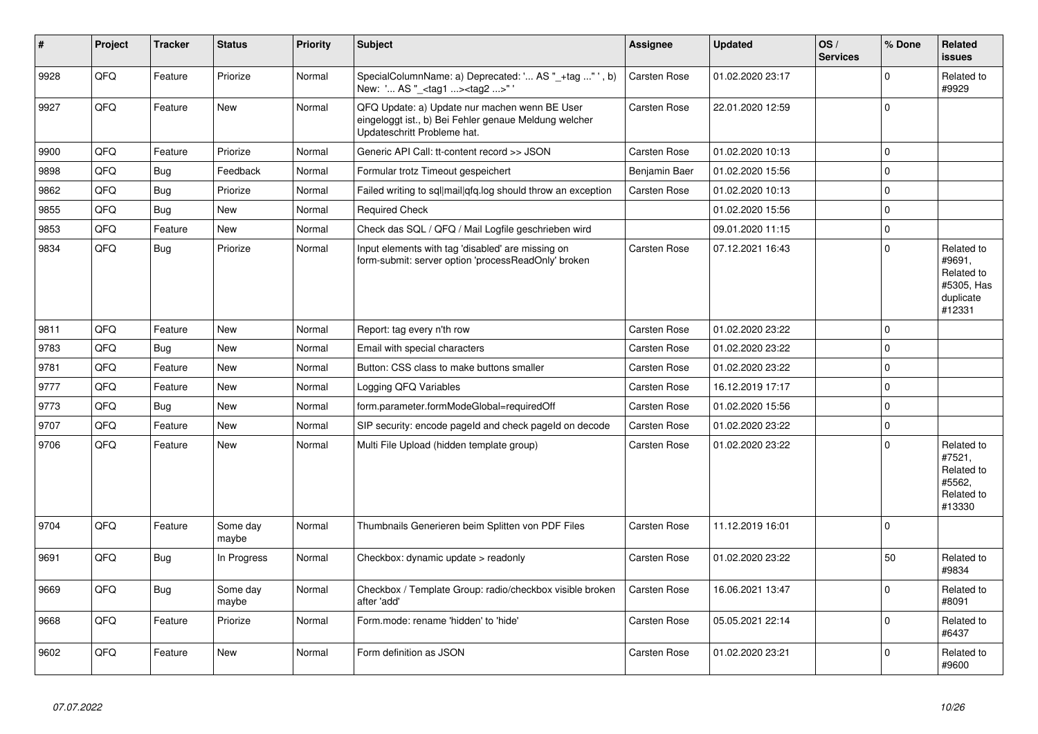| #    | Project | <b>Tracker</b> | <b>Status</b>     | <b>Priority</b> | <b>Subject</b>                                                                                                                        | <b>Assignee</b>     | <b>Updated</b>   | OS/<br><b>Services</b> | % Done      | Related<br><b>issues</b>                                                |
|------|---------|----------------|-------------------|-----------------|---------------------------------------------------------------------------------------------------------------------------------------|---------------------|------------------|------------------------|-------------|-------------------------------------------------------------------------|
| 9928 | QFQ     | Feature        | Priorize          | Normal          | SpecialColumnName: a) Deprecated: ' AS "_+tag "', b)<br>New: ' AS "_ <tag1><tag2>"</tag2></tag1>                                      | <b>Carsten Rose</b> | 01.02.2020 23:17 |                        | $\mathbf 0$ | Related to<br>#9929                                                     |
| 9927 | QFQ     | Feature        | <b>New</b>        | Normal          | QFQ Update: a) Update nur machen wenn BE User<br>eingeloggt ist., b) Bei Fehler genaue Meldung welcher<br>Updateschritt Probleme hat. | Carsten Rose        | 22.01.2020 12:59 |                        | $\mathbf 0$ |                                                                         |
| 9900 | QFQ     | Feature        | Priorize          | Normal          | Generic API Call: tt-content record >> JSON                                                                                           | <b>Carsten Rose</b> | 01.02.2020 10:13 |                        | $\mathbf 0$ |                                                                         |
| 9898 | QFQ     | <b>Bug</b>     | Feedback          | Normal          | Formular trotz Timeout gespeichert                                                                                                    | Benjamin Baer       | 01.02.2020 15:56 |                        | $\mathbf 0$ |                                                                         |
| 9862 | QFQ     | Bug            | Priorize          | Normal          | Failed writing to sql mail qfq.log should throw an exception                                                                          | Carsten Rose        | 01.02.2020 10:13 |                        | $\mathbf 0$ |                                                                         |
| 9855 | QFQ     | <b>Bug</b>     | <b>New</b>        | Normal          | <b>Required Check</b>                                                                                                                 |                     | 01.02.2020 15:56 |                        | $\mathbf 0$ |                                                                         |
| 9853 | QFQ     | Feature        | <b>New</b>        | Normal          | Check das SQL / QFQ / Mail Logfile geschrieben wird                                                                                   |                     | 09.01.2020 11:15 |                        | $\mathbf 0$ |                                                                         |
| 9834 | QFQ     | Bug            | Priorize          | Normal          | Input elements with tag 'disabled' are missing on<br>form-submit: server option 'processReadOnly' broken                              | Carsten Rose        | 07.12.2021 16:43 |                        | $\Omega$    | Related to<br>#9691,<br>Related to<br>#5305, Has<br>duplicate<br>#12331 |
| 9811 | QFQ     | Feature        | New               | Normal          | Report: tag every n'th row                                                                                                            | <b>Carsten Rose</b> | 01.02.2020 23:22 |                        | $\Omega$    |                                                                         |
| 9783 | QFQ     | <b>Bug</b>     | <b>New</b>        | Normal          | Email with special characters                                                                                                         | Carsten Rose        | 01.02.2020 23:22 |                        | $\mathbf 0$ |                                                                         |
| 9781 | QFQ     | Feature        | <b>New</b>        | Normal          | Button: CSS class to make buttons smaller                                                                                             | Carsten Rose        | 01.02.2020 23:22 |                        | $\mathbf 0$ |                                                                         |
| 9777 | QFQ     | Feature        | New               | Normal          | Logging QFQ Variables                                                                                                                 | Carsten Rose        | 16.12.2019 17:17 |                        | $\pmb{0}$   |                                                                         |
| 9773 | QFQ     | <b>Bug</b>     | <b>New</b>        | Normal          | form.parameter.formModeGlobal=requiredOff                                                                                             | <b>Carsten Rose</b> | 01.02.2020 15:56 |                        | $\mathbf 0$ |                                                                         |
| 9707 | QFQ     | Feature        | <b>New</b>        | Normal          | SIP security: encode pageld and check pageld on decode                                                                                | <b>Carsten Rose</b> | 01.02.2020 23:22 |                        | $\pmb{0}$   |                                                                         |
| 9706 | QFQ     | Feature        | <b>New</b>        | Normal          | Multi File Upload (hidden template group)                                                                                             | Carsten Rose        | 01.02.2020 23:22 |                        | $\Omega$    | Related to<br>#7521.<br>Related to<br>#5562,<br>Related to<br>#13330    |
| 9704 | QFQ     | Feature        | Some day<br>maybe | Normal          | Thumbnails Generieren beim Splitten von PDF Files                                                                                     | <b>Carsten Rose</b> | 11.12.2019 16:01 |                        | $\mathbf 0$ |                                                                         |
| 9691 | QFQ     | <b>Bug</b>     | In Progress       | Normal          | Checkbox: dynamic update > readonly                                                                                                   | Carsten Rose        | 01.02.2020 23:22 |                        | 50          | Related to<br>#9834                                                     |
| 9669 | QFQ     | Bug            | Some day<br>maybe | Normal          | Checkbox / Template Group: radio/checkbox visible broken<br>after 'add'                                                               | Carsten Rose        | 16.06.2021 13:47 |                        | $\Omega$    | Related to<br>#8091                                                     |
| 9668 | QFQ     | Feature        | Priorize          | Normal          | Form.mode: rename 'hidden' to 'hide'                                                                                                  | Carsten Rose        | 05.05.2021 22:14 |                        | $\Omega$    | Related to<br>#6437                                                     |
| 9602 | QFQ     | Feature        | New               | Normal          | Form definition as JSON                                                                                                               | Carsten Rose        | 01.02.2020 23:21 |                        | $\Omega$    | Related to<br>#9600                                                     |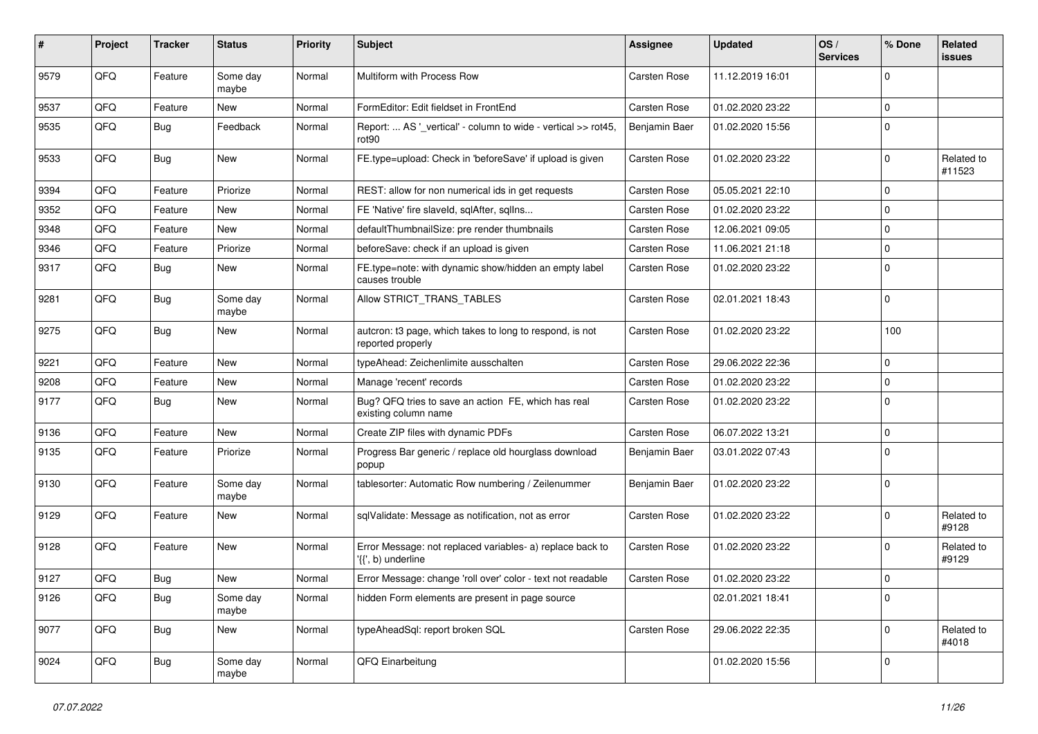| $\pmb{\#}$ | Project | <b>Tracker</b> | <b>Status</b>     | <b>Priority</b> | <b>Subject</b>                                                                     | <b>Assignee</b>     | <b>Updated</b>   | OS/<br><b>Services</b> | % Done      | Related<br><b>issues</b> |
|------------|---------|----------------|-------------------|-----------------|------------------------------------------------------------------------------------|---------------------|------------------|------------------------|-------------|--------------------------|
| 9579       | QFQ     | Feature        | Some day<br>maybe | Normal          | Multiform with Process Row                                                         | Carsten Rose        | 11.12.2019 16:01 |                        | $\mathbf 0$ |                          |
| 9537       | QFQ     | Feature        | New               | Normal          | FormEditor: Edit fieldset in FrontEnd                                              | Carsten Rose        | 01.02.2020 23:22 |                        | $\mathbf 0$ |                          |
| 9535       | QFQ     | Bug            | Feedback          | Normal          | Report:  AS '_vertical' - column to wide - vertical >> rot45,<br>rot <sub>90</sub> | Benjamin Baer       | 01.02.2020 15:56 |                        | $\mathbf 0$ |                          |
| 9533       | QFQ     | Bug            | New               | Normal          | FE.type=upload: Check in 'beforeSave' if upload is given                           | Carsten Rose        | 01.02.2020 23:22 |                        | $\mathbf 0$ | Related to<br>#11523     |
| 9394       | QFQ     | Feature        | Priorize          | Normal          | REST: allow for non numerical ids in get requests                                  | Carsten Rose        | 05.05.2021 22:10 |                        | $\mathbf 0$ |                          |
| 9352       | QFQ     | Feature        | <b>New</b>        | Normal          | FE 'Native' fire slaveld, sqlAfter, sqlIns                                         | <b>Carsten Rose</b> | 01.02.2020 23:22 |                        | $\mathbf 0$ |                          |
| 9348       | QFQ     | Feature        | New               | Normal          | defaultThumbnailSize: pre render thumbnails                                        | Carsten Rose        | 12.06.2021 09:05 |                        | $\mathbf 0$ |                          |
| 9346       | QFQ     | Feature        | Priorize          | Normal          | beforeSave: check if an upload is given                                            | Carsten Rose        | 11.06.2021 21:18 |                        | $\mathbf 0$ |                          |
| 9317       | QFQ     | Bug            | New               | Normal          | FE.type=note: with dynamic show/hidden an empty label<br>causes trouble            | Carsten Rose        | 01.02.2020 23:22 |                        | $\mathbf 0$ |                          |
| 9281       | QFQ     | Bug            | Some day<br>maybe | Normal          | Allow STRICT_TRANS_TABLES                                                          | Carsten Rose        | 02.01.2021 18:43 |                        | $\mathbf 0$ |                          |
| 9275       | QFQ     | Bug            | <b>New</b>        | Normal          | autcron: t3 page, which takes to long to respond, is not<br>reported properly      | Carsten Rose        | 01.02.2020 23:22 |                        | 100         |                          |
| 9221       | QFQ     | Feature        | <b>New</b>        | Normal          | typeAhead: Zeichenlimite ausschalten                                               | Carsten Rose        | 29.06.2022 22:36 |                        | $\mathbf 0$ |                          |
| 9208       | QFQ     | Feature        | New               | Normal          | Manage 'recent' records                                                            | Carsten Rose        | 01.02.2020 23:22 |                        | $\mathbf 0$ |                          |
| 9177       | QFQ     | Bug            | <b>New</b>        | Normal          | Bug? QFQ tries to save an action FE, which has real<br>existing column name        | Carsten Rose        | 01.02.2020 23:22 |                        | $\mathbf 0$ |                          |
| 9136       | QFQ     | Feature        | New               | Normal          | Create ZIP files with dynamic PDFs                                                 | Carsten Rose        | 06.07.2022 13:21 |                        | $\mathbf 0$ |                          |
| 9135       | QFQ     | Feature        | Priorize          | Normal          | Progress Bar generic / replace old hourglass download<br>popup                     | Benjamin Baer       | 03.01.2022 07:43 |                        | $\mathbf 0$ |                          |
| 9130       | QFQ     | Feature        | Some day<br>maybe | Normal          | tablesorter: Automatic Row numbering / Zeilenummer                                 | Benjamin Baer       | 01.02.2020 23:22 |                        | $\mathbf 0$ |                          |
| 9129       | QFQ     | Feature        | New               | Normal          | sqlValidate: Message as notification, not as error                                 | Carsten Rose        | 01.02.2020 23:22 |                        | $\mathbf 0$ | Related to<br>#9128      |
| 9128       | QFQ     | Feature        | <b>New</b>        | Normal          | Error Message: not replaced variables- a) replace back to<br>'{{', b) underline    | Carsten Rose        | 01.02.2020 23:22 |                        | $\mathbf 0$ | Related to<br>#9129      |
| 9127       | QFQ     | Bug            | <b>New</b>        | Normal          | Error Message: change 'roll over' color - text not readable                        | Carsten Rose        | 01.02.2020 23:22 |                        | $\mathbf 0$ |                          |
| 9126       | QFQ     | <b>Bug</b>     | Some day<br>maybe | Normal          | hidden Form elements are present in page source                                    |                     | 02.01.2021 18:41 |                        | $\mathbf 0$ |                          |
| 9077       | QFQ     | <b>Bug</b>     | New               | Normal          | typeAheadSql: report broken SQL                                                    | Carsten Rose        | 29.06.2022 22:35 |                        | $\mathbf 0$ | Related to<br>#4018      |
| 9024       | QFG     | <b>Bug</b>     | Some day<br>maybe | Normal          | QFQ Einarbeitung                                                                   |                     | 01.02.2020 15:56 |                        | $\mathbf 0$ |                          |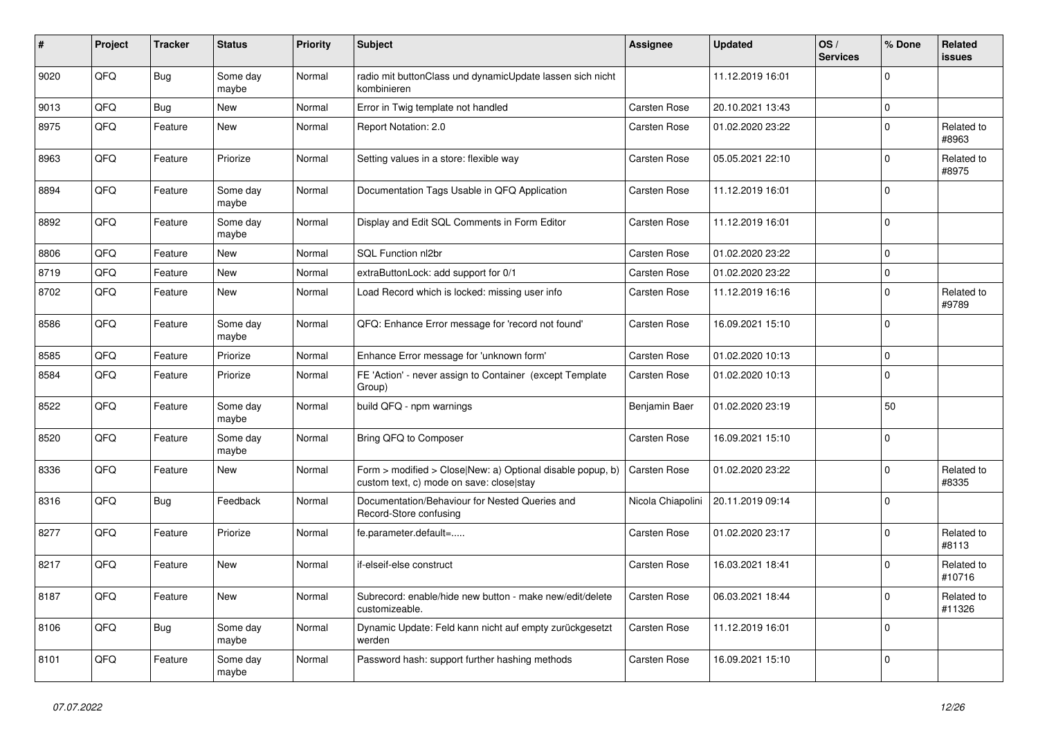| #    | Project | <b>Tracker</b> | <b>Status</b>     | <b>Priority</b> | <b>Subject</b>                                                                                         | Assignee            | <b>Updated</b>   | OS/<br><b>Services</b> | % Done      | Related<br><b>issues</b> |
|------|---------|----------------|-------------------|-----------------|--------------------------------------------------------------------------------------------------------|---------------------|------------------|------------------------|-------------|--------------------------|
| 9020 | QFQ     | <b>Bug</b>     | Some day<br>maybe | Normal          | radio mit buttonClass und dynamicUpdate lassen sich nicht<br>kombinieren                               |                     | 11.12.2019 16:01 |                        | $\Omega$    |                          |
| 9013 | QFQ     | <b>Bug</b>     | <b>New</b>        | Normal          | Error in Twig template not handled                                                                     | Carsten Rose        | 20.10.2021 13:43 |                        | $\mathbf 0$ |                          |
| 8975 | QFQ     | Feature        | New               | Normal          | Report Notation: 2.0                                                                                   | Carsten Rose        | 01.02.2020 23:22 |                        | $\Omega$    | Related to<br>#8963      |
| 8963 | QFQ     | Feature        | Priorize          | Normal          | Setting values in a store: flexible way                                                                | <b>Carsten Rose</b> | 05.05.2021 22:10 |                        | $\mathbf 0$ | Related to<br>#8975      |
| 8894 | QFQ     | Feature        | Some day<br>maybe | Normal          | Documentation Tags Usable in QFQ Application                                                           | <b>Carsten Rose</b> | 11.12.2019 16:01 |                        | $\Omega$    |                          |
| 8892 | QFQ     | Feature        | Some day<br>maybe | Normal          | Display and Edit SQL Comments in Form Editor                                                           | Carsten Rose        | 11.12.2019 16:01 |                        | $\mathbf 0$ |                          |
| 8806 | QFQ     | Feature        | <b>New</b>        | Normal          | SQL Function nl2br                                                                                     | <b>Carsten Rose</b> | 01.02.2020 23:22 |                        | $\mathbf 0$ |                          |
| 8719 | QFQ     | Feature        | <b>New</b>        | Normal          | extraButtonLock: add support for 0/1                                                                   | <b>Carsten Rose</b> | 01.02.2020 23:22 |                        | $\mathbf 0$ |                          |
| 8702 | QFQ     | Feature        | New               | Normal          | Load Record which is locked: missing user info                                                         | Carsten Rose        | 11.12.2019 16:16 |                        | $\mathbf 0$ | Related to<br>#9789      |
| 8586 | QFQ     | Feature        | Some day<br>maybe | Normal          | QFQ: Enhance Error message for 'record not found'                                                      | <b>Carsten Rose</b> | 16.09.2021 15:10 |                        | $\mathbf 0$ |                          |
| 8585 | QFQ     | Feature        | Priorize          | Normal          | Enhance Error message for 'unknown form'                                                               | Carsten Rose        | 01.02.2020 10:13 |                        | $\Omega$    |                          |
| 8584 | QFQ     | Feature        | Priorize          | Normal          | FE 'Action' - never assign to Container (except Template<br>Group)                                     | Carsten Rose        | 01.02.2020 10:13 |                        | $\Omega$    |                          |
| 8522 | QFQ     | Feature        | Some day<br>maybe | Normal          | build QFQ - npm warnings                                                                               | Benjamin Baer       | 01.02.2020 23:19 |                        | 50          |                          |
| 8520 | QFQ     | Feature        | Some day<br>maybe | Normal          | Bring QFQ to Composer                                                                                  | <b>Carsten Rose</b> | 16.09.2021 15:10 |                        | $\mathbf 0$ |                          |
| 8336 | QFQ     | Feature        | <b>New</b>        | Normal          | Form > modified > Close New: a) Optional disable popup, b)<br>custom text, c) mode on save: close stay | <b>Carsten Rose</b> | 01.02.2020 23:22 |                        | $\Omega$    | Related to<br>#8335      |
| 8316 | QFQ     | <b>Bug</b>     | Feedback          | Normal          | Documentation/Behaviour for Nested Queries and<br>Record-Store confusing                               | Nicola Chiapolini   | 20.11.2019 09:14 |                        | $\Omega$    |                          |
| 8277 | QFQ     | Feature        | Priorize          | Normal          | fe.parameter.default=                                                                                  | <b>Carsten Rose</b> | 01.02.2020 23:17 |                        | $\mathbf 0$ | Related to<br>#8113      |
| 8217 | QFQ     | Feature        | New               | Normal          | if-elseif-else construct                                                                               | <b>Carsten Rose</b> | 16.03.2021 18:41 |                        | $\Omega$    | Related to<br>#10716     |
| 8187 | QFQ     | Feature        | New               | Normal          | Subrecord: enable/hide new button - make new/edit/delete<br>customizeable.                             | Carsten Rose        | 06.03.2021 18:44 |                        | $\Omega$    | Related to<br>#11326     |
| 8106 | QFQ     | Bug            | Some day<br>maybe | Normal          | Dynamic Update: Feld kann nicht auf empty zurückgesetzt<br>werden                                      | <b>Carsten Rose</b> | 11.12.2019 16:01 |                        | $\mathbf 0$ |                          |
| 8101 | QFQ     | Feature        | Some day<br>maybe | Normal          | Password hash: support further hashing methods                                                         | <b>Carsten Rose</b> | 16.09.2021 15:10 |                        | $\Omega$    |                          |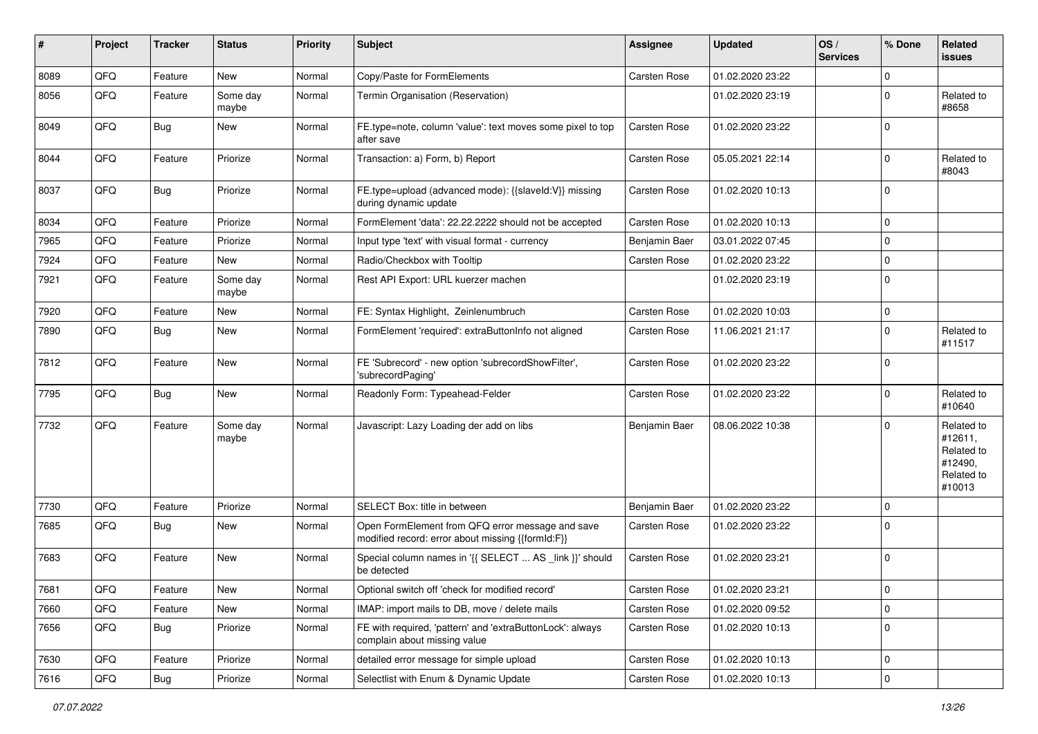| ∦    | Project | <b>Tracker</b> | <b>Status</b>     | <b>Priority</b> | Subject                                                                                               | <b>Assignee</b> | <b>Updated</b>   | OS/<br><b>Services</b> | % Done         | Related<br><b>issues</b>                                               |
|------|---------|----------------|-------------------|-----------------|-------------------------------------------------------------------------------------------------------|-----------------|------------------|------------------------|----------------|------------------------------------------------------------------------|
| 8089 | QFQ     | Feature        | <b>New</b>        | Normal          | Copy/Paste for FormElements                                                                           | Carsten Rose    | 01.02.2020 23:22 |                        | $\Omega$       |                                                                        |
| 8056 | QFQ     | Feature        | Some day<br>maybe | Normal          | Termin Organisation (Reservation)                                                                     |                 | 01.02.2020 23:19 |                        | $\Omega$       | Related to<br>#8658                                                    |
| 8049 | QFQ     | Bug            | New               | Normal          | FE.type=note, column 'value': text moves some pixel to top<br>after save                              | Carsten Rose    | 01.02.2020 23:22 |                        | $\Omega$       |                                                                        |
| 8044 | QFQ     | Feature        | Priorize          | Normal          | Transaction: a) Form, b) Report                                                                       | Carsten Rose    | 05.05.2021 22:14 |                        | $\Omega$       | Related to<br>#8043                                                    |
| 8037 | QFQ     | Bug            | Priorize          | Normal          | FE.type=upload (advanced mode): {{slaveld:V}} missing<br>during dynamic update                        | Carsten Rose    | 01.02.2020 10:13 |                        | $\Omega$       |                                                                        |
| 8034 | QFQ     | Feature        | Priorize          | Normal          | FormElement 'data': 22.22.2222 should not be accepted                                                 | Carsten Rose    | 01.02.2020 10:13 |                        | $\Omega$       |                                                                        |
| 7965 | QFQ     | Feature        | Priorize          | Normal          | Input type 'text' with visual format - currency                                                       | Benjamin Baer   | 03.01.2022 07:45 |                        | $\mathbf 0$    |                                                                        |
| 7924 | QFQ     | Feature        | New               | Normal          | Radio/Checkbox with Tooltip                                                                           | Carsten Rose    | 01.02.2020 23:22 |                        | $\mathbf 0$    |                                                                        |
| 7921 | QFQ     | Feature        | Some day<br>maybe | Normal          | Rest API Export: URL kuerzer machen                                                                   |                 | 01.02.2020 23:19 |                        | $\Omega$       |                                                                        |
| 7920 | QFQ     | Feature        | New               | Normal          | FE: Syntax Highlight, Zeinlenumbruch                                                                  | Carsten Rose    | 01.02.2020 10:03 |                        | $\mathbf 0$    |                                                                        |
| 7890 | QFQ     | Bug            | <b>New</b>        | Normal          | FormElement 'required': extraButtonInfo not aligned                                                   | Carsten Rose    | 11.06.2021 21:17 |                        | $\Omega$       | Related to<br>#11517                                                   |
| 7812 | QFQ     | Feature        | New               | Normal          | FE 'Subrecord' - new option 'subrecordShowFilter',<br>'subrecordPaging'                               | Carsten Rose    | 01.02.2020 23:22 |                        | $\Omega$       |                                                                        |
| 7795 | QFQ     | Bug            | New               | Normal          | Readonly Form: Typeahead-Felder                                                                       | Carsten Rose    | 01.02.2020 23:22 |                        | $\mathbf 0$    | Related to<br>#10640                                                   |
| 7732 | QFQ     | Feature        | Some day<br>maybe | Normal          | Javascript: Lazy Loading der add on libs                                                              | Benjamin Baer   | 08.06.2022 10:38 |                        | $\Omega$       | Related to<br>#12611,<br>Related to<br>#12490,<br>Related to<br>#10013 |
| 7730 | QFQ     | Feature        | Priorize          | Normal          | SELECT Box: title in between                                                                          | Benjamin Baer   | 01.02.2020 23:22 |                        | $\Omega$       |                                                                        |
| 7685 | QFQ     | Bug            | New               | Normal          | Open FormElement from QFQ error message and save<br>modified record: error about missing {{formId:F}} | Carsten Rose    | 01.02.2020 23:22 |                        | $\Omega$       |                                                                        |
| 7683 | QFQ     | Feature        | <b>New</b>        | Normal          | Special column names in '{{ SELECT  AS _link }}' should<br>be detected                                | Carsten Rose    | 01.02.2020 23:21 |                        | $\mathbf 0$    |                                                                        |
| 7681 | QFQ     | Feature        | New               | Normal          | Optional switch off 'check for modified record'                                                       | Carsten Rose    | 01.02.2020 23:21 |                        | U              |                                                                        |
| 7660 | QFQ     | Feature        | New               | Normal          | IMAP: import mails to DB, move / delete mails                                                         | Carsten Rose    | 01.02.2020 09:52 |                        | 0              |                                                                        |
| 7656 | QFQ     | Bug            | Priorize          | Normal          | FE with required, 'pattern' and 'extraButtonLock': always<br>complain about missing value             | Carsten Rose    | 01.02.2020 10:13 |                        | $\mathbf 0$    |                                                                        |
| 7630 | QFQ     | Feature        | Priorize          | Normal          | detailed error message for simple upload                                                              | Carsten Rose    | 01.02.2020 10:13 |                        | $\mathbf 0$    |                                                                        |
| 7616 | QFQ     | Bug            | Priorize          | Normal          | Selectlist with Enum & Dynamic Update                                                                 | Carsten Rose    | 01.02.2020 10:13 |                        | $\overline{0}$ |                                                                        |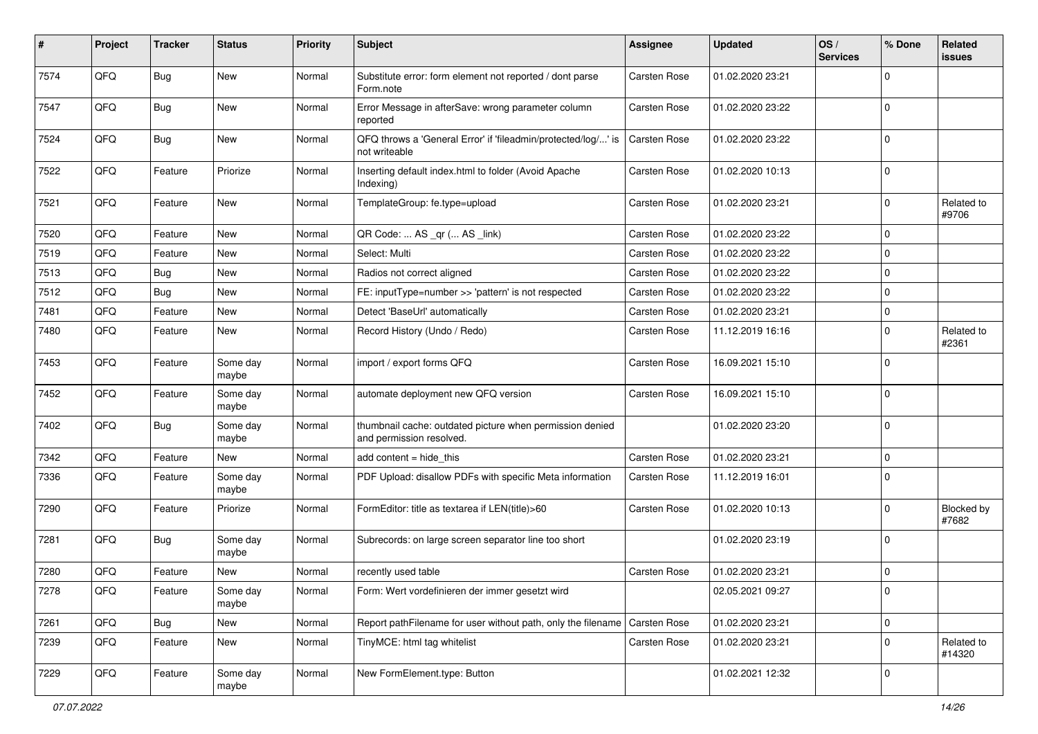| #    | Project | <b>Tracker</b> | <b>Status</b>     | <b>Priority</b> | Subject                                                                              | <b>Assignee</b>     | <b>Updated</b>   | OS/<br><b>Services</b> | % Done      | Related<br>issues    |
|------|---------|----------------|-------------------|-----------------|--------------------------------------------------------------------------------------|---------------------|------------------|------------------------|-------------|----------------------|
| 7574 | QFQ     | Bug            | New               | Normal          | Substitute error: form element not reported / dont parse<br>Form.note                | Carsten Rose        | 01.02.2020 23:21 |                        | $\Omega$    |                      |
| 7547 | QFQ     | Bug            | New               | Normal          | Error Message in afterSave: wrong parameter column<br>reported                       | <b>Carsten Rose</b> | 01.02.2020 23:22 |                        | $\mathbf 0$ |                      |
| 7524 | QFQ     | Bug            | <b>New</b>        | Normal          | QFQ throws a 'General Error' if 'fileadmin/protected/log/' is<br>not writeable       | <b>Carsten Rose</b> | 01.02.2020 23:22 |                        | $\Omega$    |                      |
| 7522 | QFQ     | Feature        | Priorize          | Normal          | Inserting default index.html to folder (Avoid Apache<br>Indexing)                    | <b>Carsten Rose</b> | 01.02.2020 10:13 |                        | $\Omega$    |                      |
| 7521 | QFQ     | Feature        | New               | Normal          | TemplateGroup: fe.type=upload                                                        | <b>Carsten Rose</b> | 01.02.2020 23:21 |                        | $\Omega$    | Related to<br>#9706  |
| 7520 | QFQ     | Feature        | <b>New</b>        | Normal          | QR Code:  AS _qr ( AS _link)                                                         | <b>Carsten Rose</b> | 01.02.2020 23:22 |                        | $\Omega$    |                      |
| 7519 | QFQ     | Feature        | New               | Normal          | Select: Multi                                                                        | <b>Carsten Rose</b> | 01.02.2020 23:22 |                        | $\mathbf 0$ |                      |
| 7513 | QFQ     | Bug            | New               | Normal          | Radios not correct aligned                                                           | <b>Carsten Rose</b> | 01.02.2020 23:22 |                        | $\mathbf 0$ |                      |
| 7512 | QFQ     | Bug            | <b>New</b>        | Normal          | FE: inputType=number >> 'pattern' is not respected                                   | Carsten Rose        | 01.02.2020 23:22 |                        | $\Omega$    |                      |
| 7481 | QFQ     | Feature        | <b>New</b>        | Normal          | Detect 'BaseUrl' automatically                                                       | <b>Carsten Rose</b> | 01.02.2020 23:21 |                        | $\mathbf 0$ |                      |
| 7480 | QFQ     | Feature        | New               | Normal          | Record History (Undo / Redo)                                                         | Carsten Rose        | 11.12.2019 16:16 |                        | $\Omega$    | Related to<br>#2361  |
| 7453 | QFQ     | Feature        | Some day<br>maybe | Normal          | import / export forms QFQ                                                            | Carsten Rose        | 16.09.2021 15:10 |                        | 0           |                      |
| 7452 | QFQ     | Feature        | Some day<br>maybe | Normal          | automate deployment new QFQ version                                                  | <b>Carsten Rose</b> | 16.09.2021 15:10 |                        | $\Omega$    |                      |
| 7402 | QFQ     | <b>Bug</b>     | Some day<br>maybe | Normal          | thumbnail cache: outdated picture when permission denied<br>and permission resolved. |                     | 01.02.2020 23:20 |                        | 0           |                      |
| 7342 | QFQ     | Feature        | New               | Normal          | add content = hide_this                                                              | <b>Carsten Rose</b> | 01.02.2020 23:21 |                        | $\Omega$    |                      |
| 7336 | QFQ     | Feature        | Some day<br>maybe | Normal          | PDF Upload: disallow PDFs with specific Meta information                             | Carsten Rose        | 11.12.2019 16:01 |                        | 0           |                      |
| 7290 | QFQ     | Feature        | Priorize          | Normal          | FormEditor: title as textarea if LEN(title)>60                                       | Carsten Rose        | 01.02.2020 10:13 |                        | $\Omega$    | Blocked by<br>#7682  |
| 7281 | QFQ     | <b>Bug</b>     | Some day<br>maybe | Normal          | Subrecords: on large screen separator line too short                                 |                     | 01.02.2020 23:19 |                        | $\Omega$    |                      |
| 7280 | QFQ     | Feature        | New               | Normal          | recently used table                                                                  | <b>Carsten Rose</b> | 01.02.2020 23:21 |                        | $\Omega$    |                      |
| 7278 | QFQ     | Feature        | Some day<br>maybe | Normal          | Form: Wert vordefinieren der immer gesetzt wird                                      |                     | 02.05.2021 09:27 |                        | l 0         |                      |
| 7261 | QFQ     | <b>Bug</b>     | New               | Normal          | Report pathFilename for user without path, only the filename Carsten Rose            |                     | 01.02.2020 23:21 |                        | 0           |                      |
| 7239 | QFQ     | Feature        | New               | Normal          | TinyMCE: html tag whitelist                                                          | Carsten Rose        | 01.02.2020 23:21 |                        | $\Omega$    | Related to<br>#14320 |
| 7229 | QFQ     | Feature        | Some day<br>maybe | Normal          | New FormElement.type: Button                                                         |                     | 01.02.2021 12:32 |                        | 0           |                      |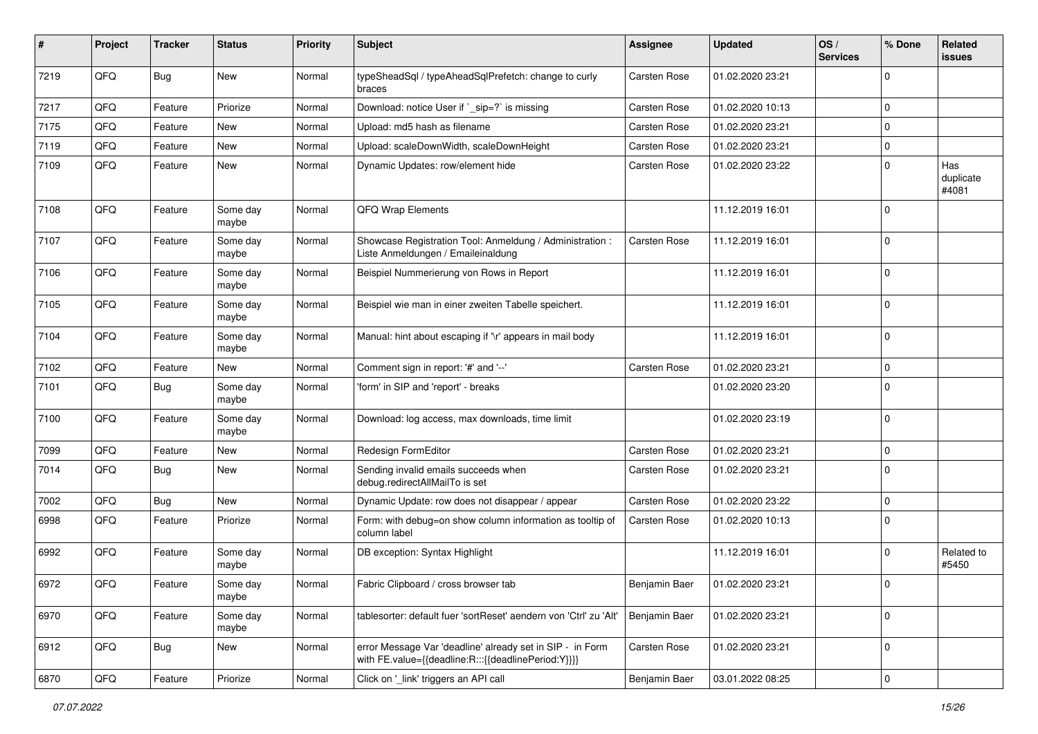| #    | Project | <b>Tracker</b> | <b>Status</b>     | <b>Priority</b> | <b>Subject</b>                                                                                                   | Assignee            | <b>Updated</b>   | OS/<br><b>Services</b> | % Done      | Related<br>issues         |
|------|---------|----------------|-------------------|-----------------|------------------------------------------------------------------------------------------------------------------|---------------------|------------------|------------------------|-------------|---------------------------|
| 7219 | QFQ     | Bug            | New               | Normal          | typeSheadSql / typeAheadSqlPrefetch: change to curly<br>braces                                                   | Carsten Rose        | 01.02.2020 23:21 |                        | $\Omega$    |                           |
| 7217 | QFQ     | Feature        | Priorize          | Normal          | Download: notice User if `_sip=?` is missing                                                                     | Carsten Rose        | 01.02.2020 10:13 |                        | $\Omega$    |                           |
| 7175 | QFQ     | Feature        | New               | Normal          | Upload: md5 hash as filename                                                                                     | <b>Carsten Rose</b> | 01.02.2020 23:21 |                        | $\Omega$    |                           |
| 7119 | QFQ     | Feature        | New               | Normal          | Upload: scaleDownWidth, scaleDownHeight                                                                          | Carsten Rose        | 01.02.2020 23:21 |                        | $\Omega$    |                           |
| 7109 | QFQ     | Feature        | New               | Normal          | Dynamic Updates: row/element hide                                                                                | Carsten Rose        | 01.02.2020 23:22 |                        | $\Omega$    | Has<br>duplicate<br>#4081 |
| 7108 | QFQ     | Feature        | Some day<br>maybe | Normal          | QFQ Wrap Elements                                                                                                |                     | 11.12.2019 16:01 |                        | $\mathbf 0$ |                           |
| 7107 | QFQ     | Feature        | Some day<br>maybe | Normal          | Showcase Registration Tool: Anmeldung / Administration :<br>Liste Anmeldungen / Emaileinaldung                   | <b>Carsten Rose</b> | 11.12.2019 16:01 |                        | $\mathbf 0$ |                           |
| 7106 | QFQ     | Feature        | Some day<br>maybe | Normal          | Beispiel Nummerierung von Rows in Report                                                                         |                     | 11.12.2019 16:01 |                        | $\Omega$    |                           |
| 7105 | QFQ     | Feature        | Some day<br>maybe | Normal          | Beispiel wie man in einer zweiten Tabelle speichert.                                                             |                     | 11.12.2019 16:01 |                        | $\Omega$    |                           |
| 7104 | QFQ     | Feature        | Some day<br>maybe | Normal          | Manual: hint about escaping if '\r' appears in mail body                                                         |                     | 11.12.2019 16:01 |                        | $\Omega$    |                           |
| 7102 | QFQ     | Feature        | New               | Normal          | Comment sign in report: '#' and '--'                                                                             | Carsten Rose        | 01.02.2020 23:21 |                        | $\Omega$    |                           |
| 7101 | QFQ     | Bug            | Some day<br>maybe | Normal          | 'form' in SIP and 'report' - breaks                                                                              |                     | 01.02.2020 23:20 |                        | $\mathbf 0$ |                           |
| 7100 | QFQ     | Feature        | Some day<br>maybe | Normal          | Download: log access, max downloads, time limit                                                                  |                     | 01.02.2020 23:19 |                        | $\Omega$    |                           |
| 7099 | QFQ     | Feature        | New               | Normal          | Redesign FormEditor                                                                                              | Carsten Rose        | 01.02.2020 23:21 |                        | $\mathbf 0$ |                           |
| 7014 | QFQ     | Bug            | New               | Normal          | Sending invalid emails succeeds when<br>debug.redirectAllMailTo is set                                           | Carsten Rose        | 01.02.2020 23:21 |                        | $\Omega$    |                           |
| 7002 | QFQ     | Bug            | New               | Normal          | Dynamic Update: row does not disappear / appear                                                                  | Carsten Rose        | 01.02.2020 23:22 |                        | $\Omega$    |                           |
| 6998 | QFQ     | Feature        | Priorize          | Normal          | Form: with debug=on show column information as tooltip of<br>column label                                        | <b>Carsten Rose</b> | 01.02.2020 10:13 |                        | $\Omega$    |                           |
| 6992 | QFQ     | Feature        | Some day<br>maybe | Normal          | DB exception: Syntax Highlight                                                                                   |                     | 11.12.2019 16:01 |                        | $\Omega$    | Related to<br>#5450       |
| 6972 | QFQ     | Feature        | Some day<br>maybe | Normal          | Fabric Clipboard / cross browser tab                                                                             | Benjamin Baer       | 01.02.2020 23:21 |                        | $\Omega$    |                           |
| 6970 | QFQ     | Feature        | Some day<br>maybe | Normal          | tablesorter: default fuer 'sortReset' aendern von 'Ctrl' zu 'Alt'                                                | Benjamin Baer       | 01.02.2020 23:21 |                        | 0           |                           |
| 6912 | QFQ     | Bug            | New               | Normal          | error Message Var 'deadline' already set in SIP - in Form<br>with FE.value={{deadline:R:::{{deadlinePeriod:Y}}}} | Carsten Rose        | 01.02.2020 23:21 |                        | $\mathbf 0$ |                           |
| 6870 | QFQ     | Feature        | Priorize          | Normal          | Click on '_link' triggers an API call                                                                            | Benjamin Baer       | 03.01.2022 08:25 |                        | $\mathbf 0$ |                           |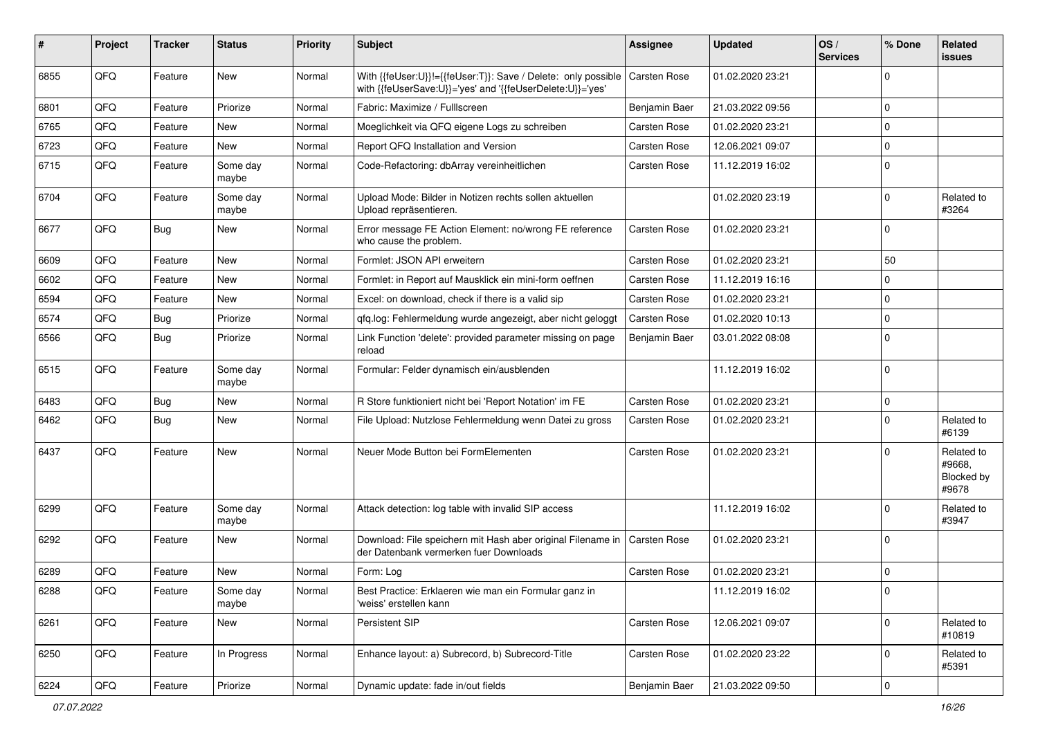| #    | Project | <b>Tracker</b> | <b>Status</b>     | <b>Priority</b> | <b>Subject</b>                                                                                                             | Assignee            | <b>Updated</b>   | OS/<br><b>Services</b> | % Done      | Related<br>issues                           |
|------|---------|----------------|-------------------|-----------------|----------------------------------------------------------------------------------------------------------------------------|---------------------|------------------|------------------------|-------------|---------------------------------------------|
| 6855 | QFQ     | Feature        | New               | Normal          | With {{feUser:U}}!={{feUser:T}}: Save / Delete: only possible<br>with {{feUserSave:U}}='yes' and '{{feUserDelete:U}}='yes' | <b>Carsten Rose</b> | 01.02.2020 23:21 |                        | $\Omega$    |                                             |
| 6801 | QFQ     | Feature        | Priorize          | Normal          | Fabric: Maximize / FullIscreen                                                                                             | Benjamin Baer       | 21.03.2022 09:56 |                        | 0           |                                             |
| 6765 | QFQ     | Feature        | <b>New</b>        | Normal          | Moeglichkeit via QFQ eigene Logs zu schreiben                                                                              | Carsten Rose        | 01.02.2020 23:21 |                        | 0           |                                             |
| 6723 | QFQ     | Feature        | <b>New</b>        | Normal          | Report QFQ Installation and Version                                                                                        | Carsten Rose        | 12.06.2021 09:07 |                        | $\Omega$    |                                             |
| 6715 | QFQ     | Feature        | Some day<br>maybe | Normal          | Code-Refactoring: dbArray vereinheitlichen                                                                                 | <b>Carsten Rose</b> | 11.12.2019 16:02 |                        | $\Omega$    |                                             |
| 6704 | QFQ     | Feature        | Some day<br>maybe | Normal          | Upload Mode: Bilder in Notizen rechts sollen aktuellen<br>Upload repräsentieren.                                           |                     | 01.02.2020 23:19 |                        | 0           | Related to<br>#3264                         |
| 6677 | QFQ     | Bug            | <b>New</b>        | Normal          | Error message FE Action Element: no/wrong FE reference<br>who cause the problem.                                           | Carsten Rose        | 01.02.2020 23:21 |                        | $\Omega$    |                                             |
| 6609 | QFQ     | Feature        | <b>New</b>        | Normal          | Formlet: JSON API erweitern                                                                                                | <b>Carsten Rose</b> | 01.02.2020 23:21 |                        | 50          |                                             |
| 6602 | QFQ     | Feature        | <b>New</b>        | Normal          | Formlet: in Report auf Mausklick ein mini-form oeffnen                                                                     | Carsten Rose        | 11.12.2019 16:16 |                        | $\Omega$    |                                             |
| 6594 | QFQ     | Feature        | New               | Normal          | Excel: on download, check if there is a valid sip                                                                          | Carsten Rose        | 01.02.2020 23:21 |                        | $\mathbf 0$ |                                             |
| 6574 | QFQ     | Bug            | Priorize          | Normal          | gfg.log: Fehlermeldung wurde angezeigt, aber nicht geloggt                                                                 | <b>Carsten Rose</b> | 01.02.2020 10:13 |                        | 0           |                                             |
| 6566 | QFQ     | Bug            | Priorize          | Normal          | Link Function 'delete': provided parameter missing on page<br>reload                                                       | Benjamin Baer       | 03.01.2022 08:08 |                        | $\Omega$    |                                             |
| 6515 | QFQ     | Feature        | Some day<br>maybe | Normal          | Formular: Felder dynamisch ein/ausblenden                                                                                  |                     | 11.12.2019 16:02 |                        | $\mathbf 0$ |                                             |
| 6483 | QFQ     | Bug            | <b>New</b>        | Normal          | R Store funktioniert nicht bei 'Report Notation' im FE                                                                     | <b>Carsten Rose</b> | 01.02.2020 23:21 |                        | 0           |                                             |
| 6462 | QFQ     | Bug            | New               | Normal          | File Upload: Nutzlose Fehlermeldung wenn Datei zu gross                                                                    | Carsten Rose        | 01.02.2020 23:21 |                        | $\Omega$    | Related to<br>#6139                         |
| 6437 | QFQ     | Feature        | <b>New</b>        | Normal          | Neuer Mode Button bei FormElementen                                                                                        | <b>Carsten Rose</b> | 01.02.2020 23:21 |                        | $\Omega$    | Related to<br>#9668,<br>Blocked by<br>#9678 |
| 6299 | QFQ     | Feature        | Some day<br>maybe | Normal          | Attack detection: log table with invalid SIP access                                                                        |                     | 11.12.2019 16:02 |                        | 0           | Related to<br>#3947                         |
| 6292 | QFQ     | Feature        | <b>New</b>        | Normal          | Download: File speichern mit Hash aber original Filename in<br>der Datenbank vermerken fuer Downloads                      | <b>Carsten Rose</b> | 01.02.2020 23:21 |                        | $\Omega$    |                                             |
| 6289 | QFQ     | Feature        | <b>New</b>        | Normal          | Form: Log                                                                                                                  | <b>Carsten Rose</b> | 01.02.2020 23:21 |                        | $\Omega$    |                                             |
| 6288 | QFQ     | Feature        | Some day<br>maybe | Normal          | Best Practice: Erklaeren wie man ein Formular ganz in<br>'weiss' erstellen kann                                            |                     | 11.12.2019 16:02 |                        | 0           |                                             |
| 6261 | QFQ     | Feature        | New               | Normal          | Persistent SIP                                                                                                             | Carsten Rose        | 12.06.2021 09:07 |                        | $\mathbf 0$ | Related to<br>#10819                        |
| 6250 | QFQ     | Feature        | In Progress       | Normal          | Enhance layout: a) Subrecord, b) Subrecord-Title                                                                           | Carsten Rose        | 01.02.2020 23:22 |                        | 0           | Related to<br>#5391                         |
| 6224 | QFQ     | Feature        | Priorize          | Normal          | Dynamic update: fade in/out fields                                                                                         | Benjamin Baer       | 21.03.2022 09:50 |                        | $\mathbf 0$ |                                             |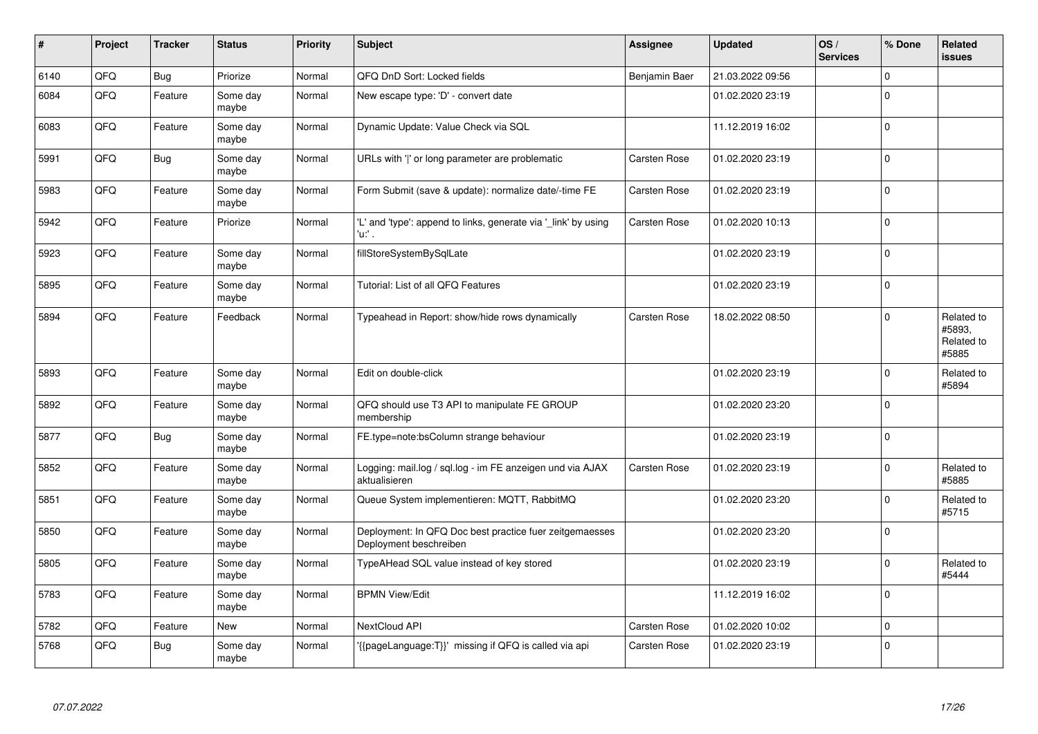| #    | Project | <b>Tracker</b> | <b>Status</b>     | <b>Priority</b> | <b>Subject</b>                                                                    | Assignee      | <b>Updated</b>   | OS/<br><b>Services</b> | % Done       | <b>Related</b><br><b>issues</b>             |
|------|---------|----------------|-------------------|-----------------|-----------------------------------------------------------------------------------|---------------|------------------|------------------------|--------------|---------------------------------------------|
| 6140 | QFQ     | <b>Bug</b>     | Priorize          | Normal          | QFQ DnD Sort: Locked fields                                                       | Benjamin Baer | 21.03.2022 09:56 |                        | $\Omega$     |                                             |
| 6084 | QFQ     | Feature        | Some day<br>maybe | Normal          | New escape type: 'D' - convert date                                               |               | 01.02.2020 23:19 |                        | $\Omega$     |                                             |
| 6083 | QFQ     | Feature        | Some day<br>maybe | Normal          | Dynamic Update: Value Check via SQL                                               |               | 11.12.2019 16:02 |                        | $\Omega$     |                                             |
| 5991 | QFQ     | Bug            | Some day<br>maybe | Normal          | URLs with 'I' or long parameter are problematic                                   | Carsten Rose  | 01.02.2020 23:19 |                        | $\Omega$     |                                             |
| 5983 | QFQ     | Feature        | Some day<br>maybe | Normal          | Form Submit (save & update): normalize date/-time FE                              | Carsten Rose  | 01.02.2020 23:19 |                        | $\Omega$     |                                             |
| 5942 | QFQ     | Feature        | Priorize          | Normal          | 'L' and 'type': append to links, generate via 'link' by using<br>'u:' .           | Carsten Rose  | 01.02.2020 10:13 |                        | $\Omega$     |                                             |
| 5923 | QFQ     | Feature        | Some day<br>maybe | Normal          | fillStoreSystemBySqlLate                                                          |               | 01.02.2020 23:19 |                        | $\mathbf{0}$ |                                             |
| 5895 | QFQ     | Feature        | Some day<br>maybe | Normal          | Tutorial: List of all QFQ Features                                                |               | 01.02.2020 23:19 |                        | $\Omega$     |                                             |
| 5894 | QFQ     | Feature        | Feedback          | Normal          | Typeahead in Report: show/hide rows dynamically                                   | Carsten Rose  | 18.02.2022 08:50 |                        | $\Omega$     | Related to<br>#5893,<br>Related to<br>#5885 |
| 5893 | QFQ     | Feature        | Some day<br>maybe | Normal          | Edit on double-click                                                              |               | 01.02.2020 23:19 |                        | $\Omega$     | Related to<br>#5894                         |
| 5892 | QFQ     | Feature        | Some day<br>maybe | Normal          | QFQ should use T3 API to manipulate FE GROUP<br>membership                        |               | 01.02.2020 23:20 |                        | $\Omega$     |                                             |
| 5877 | QFQ     | <b>Bug</b>     | Some day<br>maybe | Normal          | FE.type=note:bsColumn strange behaviour                                           |               | 01.02.2020 23:19 |                        | 0 I          |                                             |
| 5852 | QFQ     | Feature        | Some day<br>maybe | Normal          | Logging: mail.log / sql.log - im FE anzeigen und via AJAX<br>aktualisieren        | Carsten Rose  | 01.02.2020 23:19 |                        | $\Omega$     | Related to<br>#5885                         |
| 5851 | QFQ     | Feature        | Some day<br>maybe | Normal          | Queue System implementieren: MQTT, RabbitMQ                                       |               | 01.02.2020 23:20 |                        | $\Omega$     | Related to<br>#5715                         |
| 5850 | QFQ     | Feature        | Some day<br>maybe | Normal          | Deployment: In QFQ Doc best practice fuer zeitgemaesses<br>Deployment beschreiben |               | 01.02.2020 23:20 |                        | $\Omega$     |                                             |
| 5805 | QFQ     | Feature        | Some day<br>maybe | Normal          | TypeAHead SQL value instead of key stored                                         |               | 01.02.2020 23:19 |                        | $\Omega$     | Related to<br>#5444                         |
| 5783 | QFQ     | Feature        | Some day<br>maybe | Normal          | <b>BPMN View/Edit</b>                                                             |               | 11.12.2019 16:02 |                        | $\Omega$     |                                             |
| 5782 | QFQ     | Feature        | <b>New</b>        | Normal          | NextCloud API                                                                     | Carsten Rose  | 01.02.2020 10:02 |                        | $\Omega$     |                                             |
| 5768 | QFQ     | <b>Bug</b>     | Some day<br>maybe | Normal          | '{{pageLanguage:T}}' missing if QFQ is called via api                             | Carsten Rose  | 01.02.2020 23:19 |                        | $\mathbf 0$  |                                             |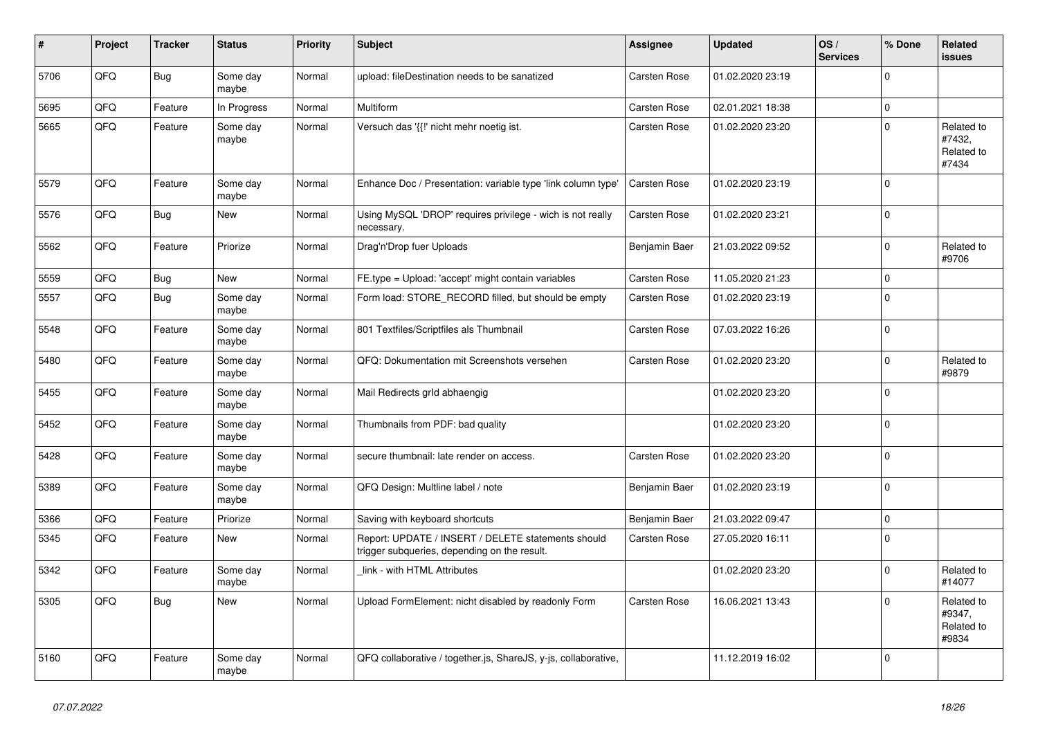| ∦    | Project | <b>Tracker</b> | <b>Status</b>     | <b>Priority</b> | <b>Subject</b>                                                                                     | Assignee            | <b>Updated</b>   | OS/<br><b>Services</b> | % Done      | Related<br><b>issues</b>                    |
|------|---------|----------------|-------------------|-----------------|----------------------------------------------------------------------------------------------------|---------------------|------------------|------------------------|-------------|---------------------------------------------|
| 5706 | QFQ     | Bug            | Some day<br>maybe | Normal          | upload: fileDestination needs to be sanatized                                                      | Carsten Rose        | 01.02.2020 23:19 |                        | $\Omega$    |                                             |
| 5695 | QFQ     | Feature        | In Progress       | Normal          | Multiform                                                                                          | Carsten Rose        | 02.01.2021 18:38 |                        | $\mathbf 0$ |                                             |
| 5665 | QFQ     | Feature        | Some day<br>maybe | Normal          | Versuch das '{{!' nicht mehr noetig ist.                                                           | Carsten Rose        | 01.02.2020 23:20 |                        | $\Omega$    | Related to<br>#7432,<br>Related to<br>#7434 |
| 5579 | QFQ     | Feature        | Some day<br>maybe | Normal          | Enhance Doc / Presentation: variable type 'link column type'                                       | Carsten Rose        | 01.02.2020 23:19 |                        | $\Omega$    |                                             |
| 5576 | QFQ     | <b>Bug</b>     | <b>New</b>        | Normal          | Using MySQL 'DROP' requires privilege - wich is not really<br>necessary.                           | Carsten Rose        | 01.02.2020 23:21 |                        | $\Omega$    |                                             |
| 5562 | QFQ     | Feature        | Priorize          | Normal          | Drag'n'Drop fuer Uploads                                                                           | Benjamin Baer       | 21.03.2022 09:52 |                        | $\mathbf 0$ | Related to<br>#9706                         |
| 5559 | QFQ     | <b>Bug</b>     | New               | Normal          | FE.type = Upload: 'accept' might contain variables                                                 | Carsten Rose        | 11.05.2020 21:23 |                        | $\Omega$    |                                             |
| 5557 | QFQ     | <b>Bug</b>     | Some day<br>maybe | Normal          | Form load: STORE_RECORD filled, but should be empty                                                | Carsten Rose        | 01.02.2020 23:19 |                        | $\Omega$    |                                             |
| 5548 | QFQ     | Feature        | Some day<br>maybe | Normal          | 801 Textfiles/Scriptfiles als Thumbnail                                                            | Carsten Rose        | 07.03.2022 16:26 |                        | $\Omega$    |                                             |
| 5480 | QFQ     | Feature        | Some day<br>maybe | Normal          | QFQ: Dokumentation mit Screenshots versehen                                                        | Carsten Rose        | 01.02.2020 23:20 |                        | $\Omega$    | Related to<br>#9879                         |
| 5455 | QFQ     | Feature        | Some day<br>maybe | Normal          | Mail Redirects grld abhaengig                                                                      |                     | 01.02.2020 23:20 |                        | $\Omega$    |                                             |
| 5452 | QFQ     | Feature        | Some day<br>maybe | Normal          | Thumbnails from PDF: bad quality                                                                   |                     | 01.02.2020 23:20 |                        | $\Omega$    |                                             |
| 5428 | QFQ     | Feature        | Some day<br>maybe | Normal          | secure thumbnail: late render on access.                                                           | Carsten Rose        | 01.02.2020 23:20 |                        | $\Omega$    |                                             |
| 5389 | QFQ     | Feature        | Some day<br>maybe | Normal          | QFQ Design: Multline label / note                                                                  | Benjamin Baer       | 01.02.2020 23:19 |                        | $\Omega$    |                                             |
| 5366 | QFQ     | Feature        | Priorize          | Normal          | Saving with keyboard shortcuts                                                                     | Benjamin Baer       | 21.03.2022 09:47 |                        | $\Omega$    |                                             |
| 5345 | QFQ     | Feature        | <b>New</b>        | Normal          | Report: UPDATE / INSERT / DELETE statements should<br>trigger subqueries, depending on the result. | Carsten Rose        | 27.05.2020 16:11 |                        | $\Omega$    |                                             |
| 5342 | QFQ     | Feature        | Some day<br>maybe | Normal          | link - with HTML Attributes                                                                        |                     | 01.02.2020 23:20 |                        | $\Omega$    | Related to<br>#14077                        |
| 5305 | QFQ     | Bug            | New               | Normal          | Upload FormElement: nicht disabled by readonly Form                                                | <b>Carsten Rose</b> | 16.06.2021 13:43 |                        | $\Omega$    | Related to<br>#9347,<br>Related to<br>#9834 |
| 5160 | QFQ     | Feature        | Some day<br>maybe | Normal          | QFQ collaborative / together.js, ShareJS, y-js, collaborative,                                     |                     | 11.12.2019 16:02 |                        | $\Omega$    |                                             |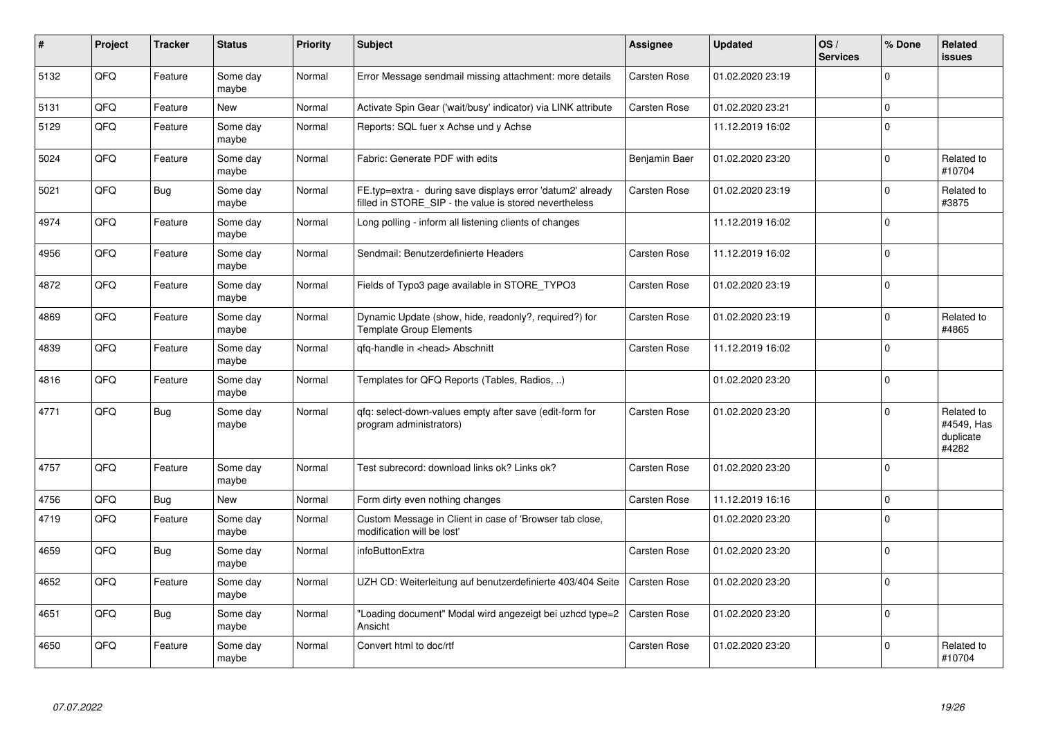| #    | Project | <b>Tracker</b> | <b>Status</b>     | <b>Priority</b> | <b>Subject</b>                                                                                                       | Assignee            | <b>Updated</b>   | OS/<br><b>Services</b> | % Done       | Related<br><b>issues</b>                       |
|------|---------|----------------|-------------------|-----------------|----------------------------------------------------------------------------------------------------------------------|---------------------|------------------|------------------------|--------------|------------------------------------------------|
| 5132 | QFQ     | Feature        | Some day<br>maybe | Normal          | Error Message sendmail missing attachment: more details                                                              | Carsten Rose        | 01.02.2020 23:19 |                        | $\Omega$     |                                                |
| 5131 | QFQ     | Feature        | <b>New</b>        | Normal          | Activate Spin Gear ('wait/busy' indicator) via LINK attribute                                                        | <b>Carsten Rose</b> | 01.02.2020 23:21 |                        | $\mathbf 0$  |                                                |
| 5129 | QFQ     | Feature        | Some day<br>maybe | Normal          | Reports: SQL fuer x Achse und y Achse                                                                                |                     | 11.12.2019 16:02 |                        | $\Omega$     |                                                |
| 5024 | QFQ     | Feature        | Some day<br>maybe | Normal          | Fabric: Generate PDF with edits                                                                                      | Benjamin Baer       | 01.02.2020 23:20 |                        | $\mathbf 0$  | Related to<br>#10704                           |
| 5021 | QFQ     | Bug            | Some day<br>maybe | Normal          | FE.typ=extra - during save displays error 'datum2' already<br>filled in STORE_SIP - the value is stored nevertheless | <b>Carsten Rose</b> | 01.02.2020 23:19 |                        | $\Omega$     | Related to<br>#3875                            |
| 4974 | QFQ     | Feature        | Some day<br>maybe | Normal          | Long polling - inform all listening clients of changes                                                               |                     | 11.12.2019 16:02 |                        | $\Omega$     |                                                |
| 4956 | QFQ     | Feature        | Some day<br>maybe | Normal          | Sendmail: Benutzerdefinierte Headers                                                                                 | Carsten Rose        | 11.12.2019 16:02 |                        | $\mathbf 0$  |                                                |
| 4872 | QFQ     | Feature        | Some day<br>maybe | Normal          | Fields of Typo3 page available in STORE_TYPO3                                                                        | <b>Carsten Rose</b> | 01.02.2020 23:19 |                        | $\Omega$     |                                                |
| 4869 | QFQ     | Feature        | Some day<br>maybe | Normal          | Dynamic Update (show, hide, readonly?, required?) for<br><b>Template Group Elements</b>                              | Carsten Rose        | 01.02.2020 23:19 |                        | $\Omega$     | Related to<br>#4865                            |
| 4839 | QFQ     | Feature        | Some day<br>maybe | Normal          | gfg-handle in <head> Abschnitt</head>                                                                                | Carsten Rose        | 11.12.2019 16:02 |                        | $\Omega$     |                                                |
| 4816 | QFQ     | Feature        | Some day<br>maybe | Normal          | Templates for QFQ Reports (Tables, Radios, )                                                                         |                     | 01.02.2020 23:20 |                        | $\Omega$     |                                                |
| 4771 | QFQ     | Bug            | Some day<br>maybe | Normal          | qfq: select-down-values empty after save (edit-form for<br>program administrators)                                   | Carsten Rose        | 01.02.2020 23:20 |                        | $\Omega$     | Related to<br>#4549, Has<br>duplicate<br>#4282 |
| 4757 | QFQ     | Feature        | Some day<br>maybe | Normal          | Test subrecord: download links ok? Links ok?                                                                         | Carsten Rose        | 01.02.2020 23:20 |                        | $\Omega$     |                                                |
| 4756 | QFQ     | Bug            | <b>New</b>        | Normal          | Form dirty even nothing changes                                                                                      | <b>Carsten Rose</b> | 11.12.2019 16:16 |                        | $\mathbf 0$  |                                                |
| 4719 | QFQ     | Feature        | Some day<br>maybe | Normal          | Custom Message in Client in case of 'Browser tab close,<br>modification will be lost'                                |                     | 01.02.2020 23:20 |                        | $\Omega$     |                                                |
| 4659 | QFQ     | <b>Bug</b>     | Some day<br>maybe | Normal          | infoButtonExtra                                                                                                      | Carsten Rose        | 01.02.2020 23:20 |                        | $\Omega$     |                                                |
| 4652 | QFQ     | Feature        | Some day<br>maybe | Normal          | UZH CD: Weiterleitung auf benutzerdefinierte 403/404 Seite                                                           | <b>Carsten Rose</b> | 01.02.2020 23:20 |                        | $\mathbf{0}$ |                                                |
| 4651 | QFQ     | Bug            | Some day<br>maybe | Normal          | 'Loading document" Modal wird angezeigt bei uzhcd type=2<br>Ansicht                                                  | Carsten Rose        | 01.02.2020 23:20 |                        | $\mathbf 0$  |                                                |
| 4650 | QFQ     | Feature        | Some day<br>maybe | Normal          | Convert html to doc/rtf                                                                                              | Carsten Rose        | 01.02.2020 23:20 |                        | $\Omega$     | Related to<br>#10704                           |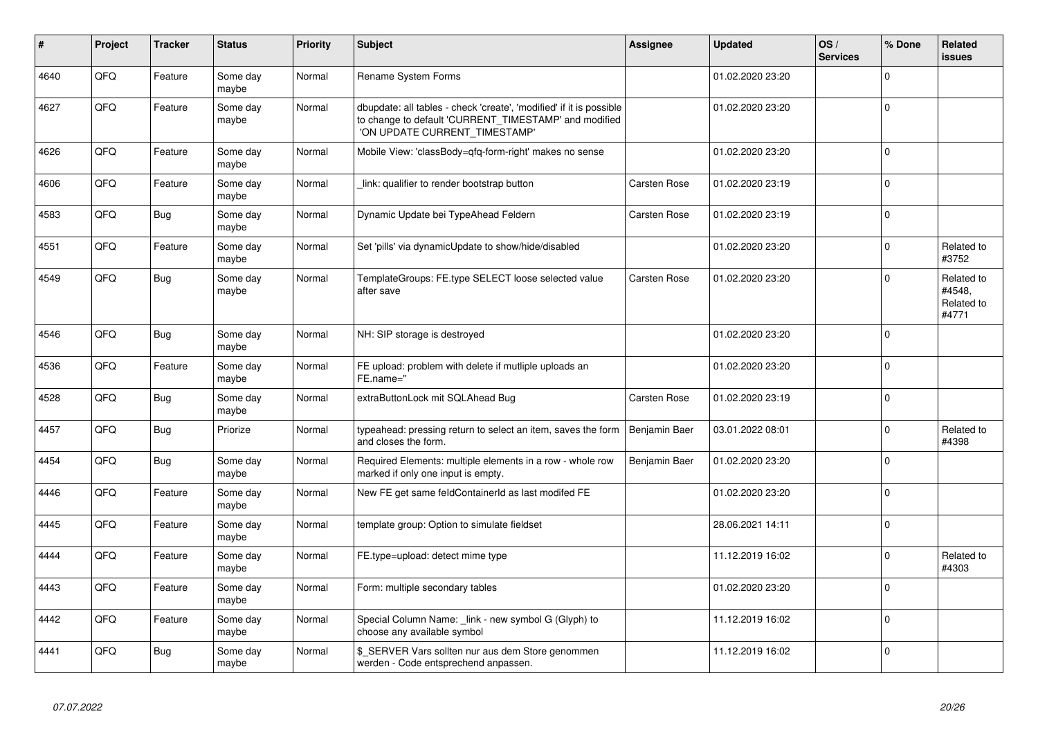| #    | Project | <b>Tracker</b> | <b>Status</b>     | <b>Priority</b> | <b>Subject</b>                                                                                                                                                | Assignee      | <b>Updated</b>   | OS/<br><b>Services</b> | % Done      | Related<br><b>issues</b>                    |
|------|---------|----------------|-------------------|-----------------|---------------------------------------------------------------------------------------------------------------------------------------------------------------|---------------|------------------|------------------------|-------------|---------------------------------------------|
| 4640 | QFQ     | Feature        | Some day<br>maybe | Normal          | <b>Rename System Forms</b>                                                                                                                                    |               | 01.02.2020 23:20 |                        | $\Omega$    |                                             |
| 4627 | QFQ     | Feature        | Some day<br>maybe | Normal          | dbupdate: all tables - check 'create', 'modified' if it is possible<br>to change to default 'CURRENT_TIMESTAMP' and modified<br>'ON UPDATE CURRENT_TIMESTAMP' |               | 01.02.2020 23:20 |                        | $\Omega$    |                                             |
| 4626 | QFQ     | Feature        | Some day<br>maybe | Normal          | Mobile View: 'classBody=qfq-form-right' makes no sense                                                                                                        |               | 01.02.2020 23:20 |                        | $\mathbf 0$ |                                             |
| 4606 | QFQ     | Feature        | Some day<br>maybe | Normal          | link: qualifier to render bootstrap button                                                                                                                    | Carsten Rose  | 01.02.2020 23:19 |                        | $\Omega$    |                                             |
| 4583 | QFQ     | Bug            | Some day<br>maybe | Normal          | Dynamic Update bei TypeAhead Feldern                                                                                                                          | Carsten Rose  | 01.02.2020 23:19 |                        | $\Omega$    |                                             |
| 4551 | QFQ     | Feature        | Some day<br>maybe | Normal          | Set 'pills' via dynamicUpdate to show/hide/disabled                                                                                                           |               | 01.02.2020 23:20 |                        | $\Omega$    | Related to<br>#3752                         |
| 4549 | QFQ     | Bug            | Some day<br>maybe | Normal          | TemplateGroups: FE.type SELECT loose selected value<br>after save                                                                                             | Carsten Rose  | 01.02.2020 23:20 |                        | $\Omega$    | Related to<br>#4548,<br>Related to<br>#4771 |
| 4546 | QFQ     | Bug            | Some day<br>maybe | Normal          | NH: SIP storage is destroyed                                                                                                                                  |               | 01.02.2020 23:20 |                        | $\Omega$    |                                             |
| 4536 | QFQ     | Feature        | Some day<br>maybe | Normal          | FE upload: problem with delete if mutliple uploads an<br>FE.name="                                                                                            |               | 01.02.2020 23:20 |                        | $\Omega$    |                                             |
| 4528 | QFQ     | Bug            | Some day<br>maybe | Normal          | extraButtonLock mit SQLAhead Bug                                                                                                                              | Carsten Rose  | 01.02.2020 23:19 |                        | $\Omega$    |                                             |
| 4457 | QFQ     | Bug            | Priorize          | Normal          | typeahead: pressing return to select an item, saves the form<br>and closes the form.                                                                          | Benjamin Baer | 03.01.2022 08:01 |                        | $\Omega$    | Related to<br>#4398                         |
| 4454 | QFQ     | Bug            | Some day<br>maybe | Normal          | Required Elements: multiple elements in a row - whole row<br>marked if only one input is empty.                                                               | Benjamin Baer | 01.02.2020 23:20 |                        | $\mathbf 0$ |                                             |
| 4446 | QFQ     | Feature        | Some day<br>maybe | Normal          | New FE get same feldContainerId as last modifed FE                                                                                                            |               | 01.02.2020 23:20 |                        | $\mathbf 0$ |                                             |
| 4445 | QFQ     | Feature        | Some day<br>maybe | Normal          | template group: Option to simulate fieldset                                                                                                                   |               | 28.06.2021 14:11 |                        | $\Omega$    |                                             |
| 4444 | QFQ     | Feature        | Some day<br>maybe | Normal          | FE.type=upload: detect mime type                                                                                                                              |               | 11.12.2019 16:02 |                        | $\Omega$    | Related to<br>#4303                         |
| 4443 | QFQ     | Feature        | Some day<br>maybe | Normal          | Form: multiple secondary tables                                                                                                                               |               | 01.02.2020 23:20 |                        | $\Omega$    |                                             |
| 4442 | QFQ     | Feature        | Some day<br>maybe | Normal          | Special Column Name: link - new symbol G (Glyph) to<br>choose any available symbol                                                                            |               | 11.12.2019 16:02 |                        | $\mathbf 0$ |                                             |
| 4441 | QFQ     | Bug            | Some day<br>maybe | Normal          | \$ SERVER Vars sollten nur aus dem Store genommen<br>werden - Code entsprechend anpassen.                                                                     |               | 11.12.2019 16:02 |                        | $\Omega$    |                                             |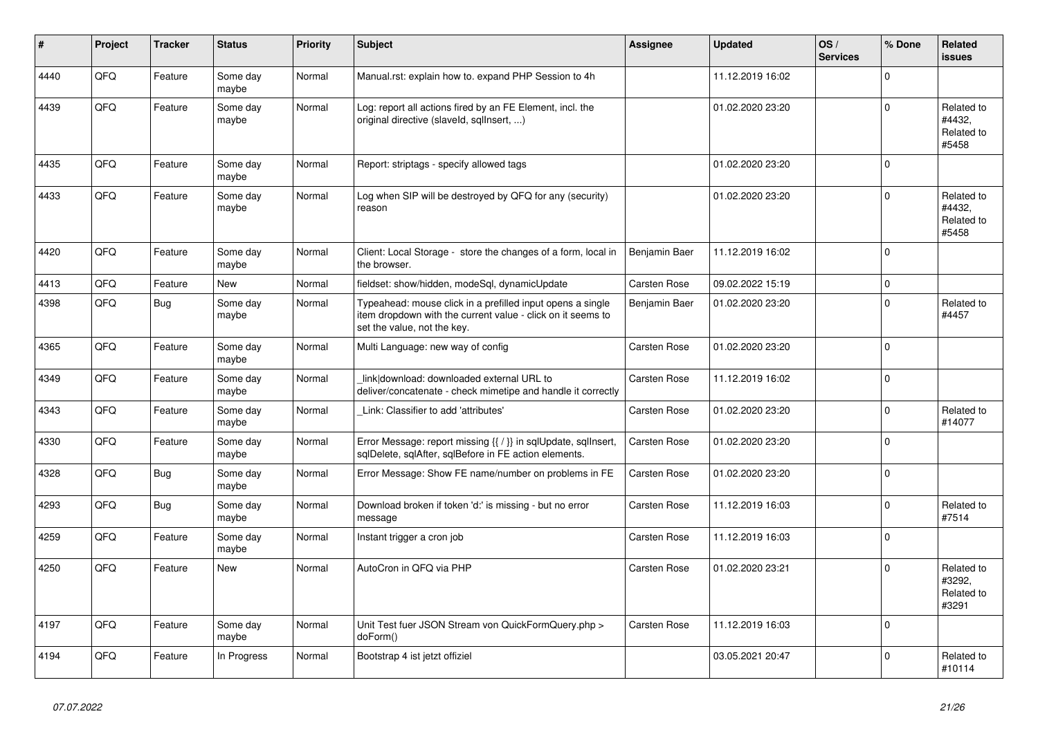| ∦    | Project | <b>Tracker</b> | <b>Status</b>     | <b>Priority</b> | <b>Subject</b>                                                                                                                                           | <b>Assignee</b> | <b>Updated</b>   | OS/<br><b>Services</b> | % Done      | Related<br><b>issues</b>                    |
|------|---------|----------------|-------------------|-----------------|----------------------------------------------------------------------------------------------------------------------------------------------------------|-----------------|------------------|------------------------|-------------|---------------------------------------------|
| 4440 | QFQ     | Feature        | Some day<br>maybe | Normal          | Manual.rst: explain how to. expand PHP Session to 4h                                                                                                     |                 | 11.12.2019 16:02 |                        | $\mathbf 0$ |                                             |
| 4439 | QFQ     | Feature        | Some day<br>maybe | Normal          | Log: report all actions fired by an FE Element, incl. the<br>original directive (slaveld, sqllnsert, )                                                   |                 | 01.02.2020 23:20 |                        | $\Omega$    | Related to<br>#4432.<br>Related to<br>#5458 |
| 4435 | QFQ     | Feature        | Some day<br>maybe | Normal          | Report: striptags - specify allowed tags                                                                                                                 |                 | 01.02.2020 23:20 |                        | $\Omega$    |                                             |
| 4433 | QFQ     | Feature        | Some day<br>maybe | Normal          | Log when SIP will be destroyed by QFQ for any (security)<br>reason                                                                                       |                 | 01.02.2020 23:20 |                        | $\mathbf 0$ | Related to<br>#4432,<br>Related to<br>#5458 |
| 4420 | QFQ     | Feature        | Some day<br>maybe | Normal          | Client: Local Storage - store the changes of a form, local in<br>the browser.                                                                            | Benjamin Baer   | 11.12.2019 16:02 |                        | $\Omega$    |                                             |
| 4413 | QFQ     | Feature        | New               | Normal          | fieldset: show/hidden, modeSql, dynamicUpdate                                                                                                            | Carsten Rose    | 09.02.2022 15:19 |                        | $\mathsf 0$ |                                             |
| 4398 | QFQ     | <b>Bug</b>     | Some day<br>maybe | Normal          | Typeahead: mouse click in a prefilled input opens a single<br>item dropdown with the current value - click on it seems to<br>set the value, not the key. | Benjamin Baer   | 01.02.2020 23:20 |                        | $\mathbf 0$ | Related to<br>#4457                         |
| 4365 | QFQ     | Feature        | Some day<br>maybe | Normal          | Multi Language: new way of config                                                                                                                        | Carsten Rose    | 01.02.2020 23:20 |                        | $\mathbf 0$ |                                             |
| 4349 | QFQ     | Feature        | Some day<br>maybe | Normal          | link download: downloaded external URL to<br>deliver/concatenate - check mimetipe and handle it correctly                                                | Carsten Rose    | 11.12.2019 16:02 |                        | $\Omega$    |                                             |
| 4343 | QFQ     | Feature        | Some day<br>maybe | Normal          | Link: Classifier to add 'attributes'                                                                                                                     | Carsten Rose    | 01.02.2020 23:20 |                        | $\mathbf 0$ | Related to<br>#14077                        |
| 4330 | QFQ     | Feature        | Some day<br>maybe | Normal          | Error Message: report missing {{ / }} in sqlUpdate, sqlInsert,<br>sqlDelete, sqlAfter, sqlBefore in FE action elements.                                  | Carsten Rose    | 01.02.2020 23:20 |                        | $\mathbf 0$ |                                             |
| 4328 | QFQ     | <b>Bug</b>     | Some day<br>maybe | Normal          | Error Message: Show FE name/number on problems in FE                                                                                                     | Carsten Rose    | 01.02.2020 23:20 |                        | $\Omega$    |                                             |
| 4293 | QFQ     | <b>Bug</b>     | Some day<br>maybe | Normal          | Download broken if token 'd:' is missing - but no error<br>message                                                                                       | Carsten Rose    | 11.12.2019 16:03 |                        | $\mathbf 0$ | Related to<br>#7514                         |
| 4259 | QFQ     | Feature        | Some day<br>maybe | Normal          | Instant trigger a cron job                                                                                                                               | Carsten Rose    | 11.12.2019 16:03 |                        | $\mathbf 0$ |                                             |
| 4250 | QFQ     | Feature        | <b>New</b>        | Normal          | AutoCron in QFQ via PHP                                                                                                                                  | Carsten Rose    | 01.02.2020 23:21 |                        | $\Omega$    | Related to<br>#3292.<br>Related to<br>#3291 |
| 4197 | QFQ     | Feature        | Some day<br>maybe | Normal          | Unit Test fuer JSON Stream von QuickFormQuery.php ><br>doForm()                                                                                          | Carsten Rose    | 11.12.2019 16:03 |                        | $\mathbf 0$ |                                             |
| 4194 | QFQ     | Feature        | In Progress       | Normal          | Bootstrap 4 ist jetzt offiziel                                                                                                                           |                 | 03.05.2021 20:47 |                        | $\Omega$    | Related to<br>#10114                        |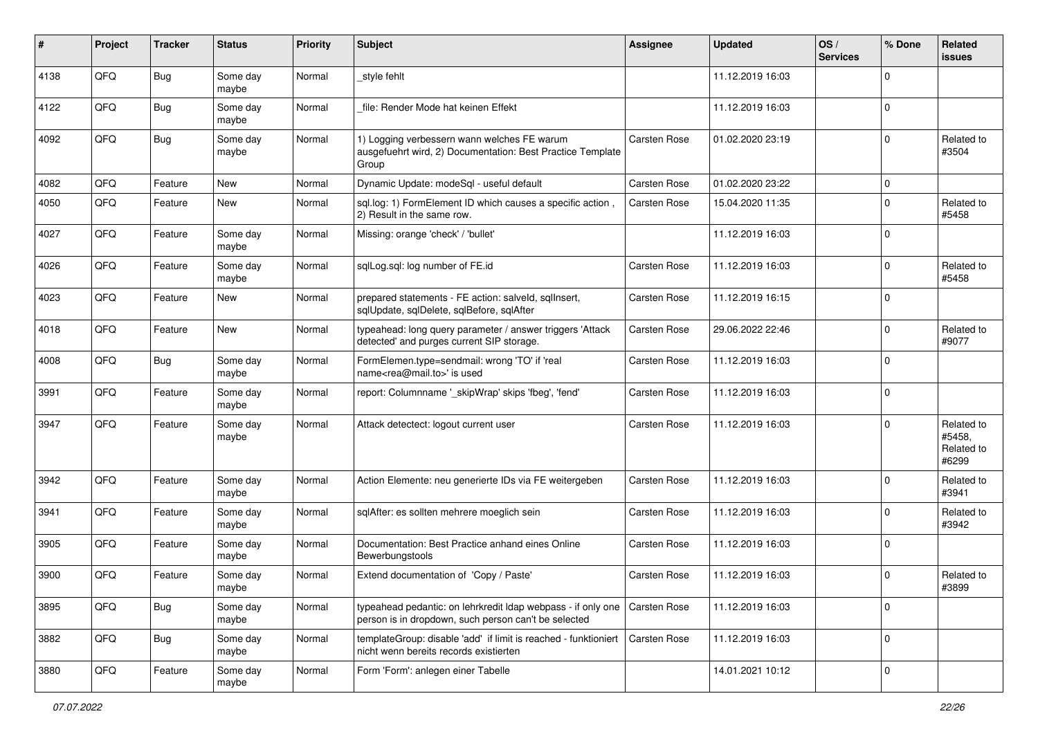| #    | Project | <b>Tracker</b> | <b>Status</b>     | <b>Priority</b> | Subject                                                                                                              | <b>Assignee</b>     | <b>Updated</b>   | OS/<br><b>Services</b> | % Done      | Related<br><b>issues</b>                    |
|------|---------|----------------|-------------------|-----------------|----------------------------------------------------------------------------------------------------------------------|---------------------|------------------|------------------------|-------------|---------------------------------------------|
| 4138 | QFQ     | Bug            | Some day<br>maybe | Normal          | style fehlt                                                                                                          |                     | 11.12.2019 16:03 |                        | $\Omega$    |                                             |
| 4122 | QFQ     | Bug            | Some day<br>maybe | Normal          | file: Render Mode hat keinen Effekt                                                                                  |                     | 11.12.2019 16:03 |                        | 0           |                                             |
| 4092 | QFQ     | Bug            | Some day<br>maybe | Normal          | 1) Logging verbessern wann welches FE warum<br>ausgefuehrt wird, 2) Documentation: Best Practice Template<br>Group   | Carsten Rose        | 01.02.2020 23:19 |                        | $\Omega$    | Related to<br>#3504                         |
| 4082 | QFQ     | Feature        | <b>New</b>        | Normal          | Dynamic Update: modeSql - useful default                                                                             | <b>Carsten Rose</b> | 01.02.2020 23:22 |                        | $\mathbf 0$ |                                             |
| 4050 | QFQ     | Feature        | New               | Normal          | sql.log: 1) FormElement ID which causes a specific action,<br>2) Result in the same row.                             | Carsten Rose        | 15.04.2020 11:35 |                        | $\Omega$    | Related to<br>#5458                         |
| 4027 | QFQ     | Feature        | Some day<br>maybe | Normal          | Missing: orange 'check' / 'bullet'                                                                                   |                     | 11.12.2019 16:03 |                        | $\Omega$    |                                             |
| 4026 | QFQ     | Feature        | Some day<br>maybe | Normal          | sqlLog.sql: log number of FE.id                                                                                      | Carsten Rose        | 11.12.2019 16:03 |                        | $\Omega$    | Related to<br>#5458                         |
| 4023 | QFQ     | Feature        | <b>New</b>        | Normal          | prepared statements - FE action: salveld, sqllnsert,<br>sqlUpdate, sqlDelete, sqlBefore, sqlAfter                    | <b>Carsten Rose</b> | 11.12.2019 16:15 |                        | $\Omega$    |                                             |
| 4018 | QFQ     | Feature        | <b>New</b>        | Normal          | typeahead: long query parameter / answer triggers 'Attack<br>detected' and purges current SIP storage.               | Carsten Rose        | 29.06.2022 22:46 |                        | $\Omega$    | Related to<br>#9077                         |
| 4008 | QFQ     | Bug            | Some day<br>maybe | Normal          | FormElemen.type=sendmail: wrong 'TO' if 'real<br>name <rea@mail.to>' is used</rea@mail.to>                           | Carsten Rose        | 11.12.2019 16:03 |                        | $\Omega$    |                                             |
| 3991 | QFQ     | Feature        | Some day<br>maybe | Normal          | report: Columnname ' skipWrap' skips 'fbeg', 'fend'                                                                  | Carsten Rose        | 11.12.2019 16:03 |                        | $\mathbf 0$ |                                             |
| 3947 | QFQ     | Feature        | Some day<br>maybe | Normal          | Attack detectect: logout current user                                                                                | <b>Carsten Rose</b> | 11.12.2019 16:03 |                        | $\Omega$    | Related to<br>#5458,<br>Related to<br>#6299 |
| 3942 | QFQ     | Feature        | Some day<br>maybe | Normal          | Action Elemente: neu generierte IDs via FE weitergeben                                                               | Carsten Rose        | 11.12.2019 16:03 |                        | $\Omega$    | Related to<br>#3941                         |
| 3941 | QFQ     | Feature        | Some day<br>maybe | Normal          | sqlAfter: es sollten mehrere moeglich sein                                                                           | <b>Carsten Rose</b> | 11.12.2019 16:03 |                        | $\Omega$    | Related to<br>#3942                         |
| 3905 | QFQ     | Feature        | Some day<br>maybe | Normal          | Documentation: Best Practice anhand eines Online<br>Bewerbungstools                                                  | Carsten Rose        | 11.12.2019 16:03 |                        | $\mathbf 0$ |                                             |
| 3900 | QFQ     | Feature        | Some day<br>maybe | Normal          | Extend documentation of 'Copy / Paste'                                                                               | Carsten Rose        | 11.12.2019 16:03 |                        | $\Omega$    | Related to<br>#3899                         |
| 3895 | QFQ     | Bug            | Some day<br>maybe | Normal          | typeahead pedantic: on lehrkredit Idap webpass - if only one<br>person is in dropdown, such person can't be selected | Carsten Rose        | 11.12.2019 16:03 |                        | 0           |                                             |
| 3882 | QFQ     | <b>Bug</b>     | Some day<br>maybe | Normal          | templateGroup: disable 'add' if limit is reached - funktioniert<br>nicht wenn bereits records existierten            | Carsten Rose        | 11.12.2019 16:03 |                        | 0           |                                             |
| 3880 | QFQ     | Feature        | Some day<br>maybe | Normal          | Form 'Form': anlegen einer Tabelle                                                                                   |                     | 14.01.2021 10:12 |                        | 0           |                                             |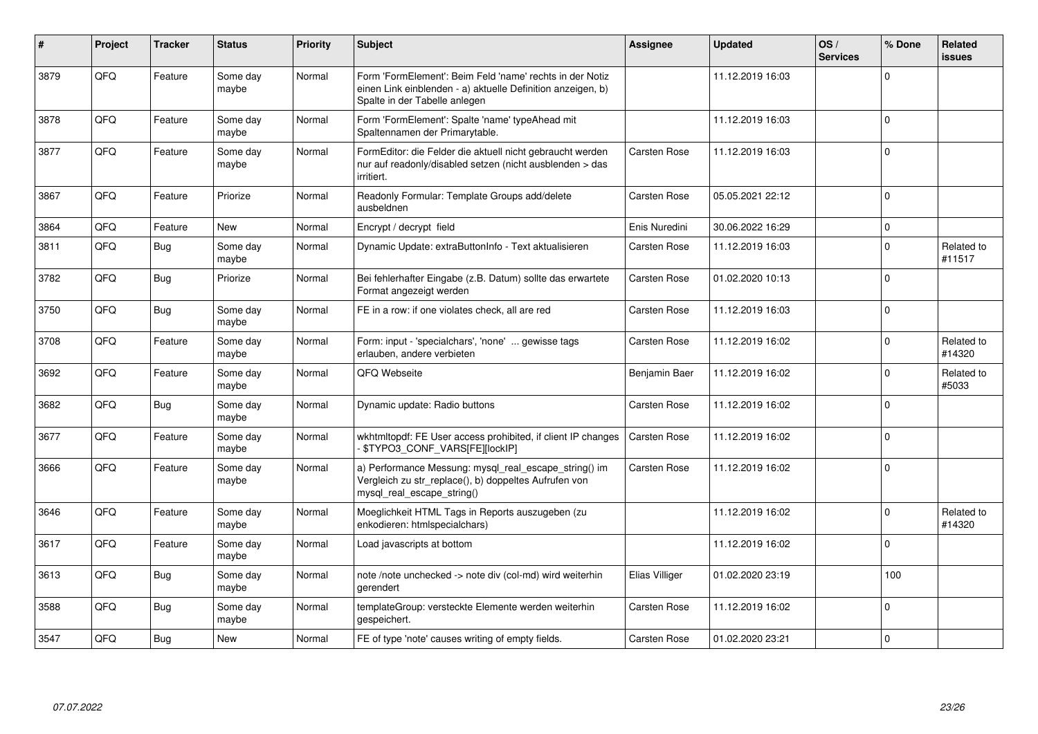| #    | Project | <b>Tracker</b> | <b>Status</b>     | <b>Priority</b> | <b>Subject</b>                                                                                                                                           | Assignee            | <b>Updated</b>   | OS/<br><b>Services</b> | % Done       | Related<br>issues    |
|------|---------|----------------|-------------------|-----------------|----------------------------------------------------------------------------------------------------------------------------------------------------------|---------------------|------------------|------------------------|--------------|----------------------|
| 3879 | QFQ     | Feature        | Some day<br>maybe | Normal          | Form 'FormElement': Beim Feld 'name' rechts in der Notiz<br>einen Link einblenden - a) aktuelle Definition anzeigen, b)<br>Spalte in der Tabelle anlegen |                     | 11.12.2019 16:03 |                        | $\Omega$     |                      |
| 3878 | QFQ     | Feature        | Some day<br>maybe | Normal          | Form 'FormElement': Spalte 'name' typeAhead mit<br>Spaltennamen der Primarytable.                                                                        |                     | 11.12.2019 16:03 |                        | $\mathbf 0$  |                      |
| 3877 | QFQ     | Feature        | Some day<br>maybe | Normal          | FormEditor: die Felder die aktuell nicht gebraucht werden<br>nur auf readonly/disabled setzen (nicht ausblenden > das<br>irritiert.                      | <b>Carsten Rose</b> | 11.12.2019 16:03 |                        | $\mathbf 0$  |                      |
| 3867 | QFQ     | Feature        | Priorize          | Normal          | Readonly Formular: Template Groups add/delete<br>ausbeldnen                                                                                              | <b>Carsten Rose</b> | 05.05.2021 22:12 |                        | $\Omega$     |                      |
| 3864 | QFQ     | Feature        | <b>New</b>        | Normal          | Encrypt / decrypt field                                                                                                                                  | Enis Nuredini       | 30.06.2022 16:29 |                        | $\Omega$     |                      |
| 3811 | QFQ     | Bug            | Some day<br>maybe | Normal          | Dynamic Update: extraButtonInfo - Text aktualisieren                                                                                                     | <b>Carsten Rose</b> | 11.12.2019 16:03 |                        | $\mathbf{0}$ | Related to<br>#11517 |
| 3782 | QFQ     | <b>Bug</b>     | Priorize          | Normal          | Bei fehlerhafter Eingabe (z.B. Datum) sollte das erwartete<br>Format angezeigt werden                                                                    | <b>Carsten Rose</b> | 01.02.2020 10:13 |                        | $\Omega$     |                      |
| 3750 | QFQ     | Bug            | Some day<br>maybe | Normal          | FE in a row: if one violates check, all are red                                                                                                          | <b>Carsten Rose</b> | 11.12.2019 16:03 |                        | $\mathbf 0$  |                      |
| 3708 | QFQ     | Feature        | Some day<br>maybe | Normal          | Form: input - 'specialchars', 'none'  gewisse tags<br>erlauben, andere verbieten                                                                         | Carsten Rose        | 11.12.2019 16:02 |                        | $\Omega$     | Related to<br>#14320 |
| 3692 | QFQ     | Feature        | Some day<br>maybe | Normal          | QFQ Webseite                                                                                                                                             | Benjamin Baer       | 11.12.2019 16:02 |                        | $\Omega$     | Related to<br>#5033  |
| 3682 | QFQ     | Bug            | Some day<br>maybe | Normal          | Dynamic update: Radio buttons                                                                                                                            | Carsten Rose        | 11.12.2019 16:02 |                        | $\Omega$     |                      |
| 3677 | QFQ     | Feature        | Some day<br>maybe | Normal          | wkhtmltopdf: FE User access prohibited, if client IP changes<br>- \$TYPO3_CONF_VARS[FE][lockIP]                                                          | <b>Carsten Rose</b> | 11.12.2019 16:02 |                        | $\Omega$     |                      |
| 3666 | QFQ     | Feature        | Some day<br>maybe | Normal          | a) Performance Messung: mysql_real_escape_string() im<br>Vergleich zu str replace(), b) doppeltes Aufrufen von<br>mysql real escape string()             | <b>Carsten Rose</b> | 11.12.2019 16:02 |                        | $\Omega$     |                      |
| 3646 | QFQ     | Feature        | Some day<br>maybe | Normal          | Moeglichkeit HTML Tags in Reports auszugeben (zu<br>enkodieren: htmlspecialchars)                                                                        |                     | 11.12.2019 16:02 |                        | $\Omega$     | Related to<br>#14320 |
| 3617 | QFQ     | Feature        | Some day<br>maybe | Normal          | Load javascripts at bottom                                                                                                                               |                     | 11.12.2019 16:02 |                        | $\Omega$     |                      |
| 3613 | QFQ     | Bug            | Some day<br>maybe | Normal          | note /note unchecked -> note div (col-md) wird weiterhin<br>gerendert                                                                                    | Elias Villiger      | 01.02.2020 23:19 |                        | 100          |                      |
| 3588 | QFQ     | Bug            | Some day<br>maybe | Normal          | templateGroup: versteckte Elemente werden weiterhin<br>gespeichert.                                                                                      | Carsten Rose        | 11.12.2019 16:02 |                        | $\mathbf 0$  |                      |
| 3547 | QFQ     | Bug            | New               | Normal          | FE of type 'note' causes writing of empty fields.                                                                                                        | Carsten Rose        | 01.02.2020 23:21 |                        | $\Omega$     |                      |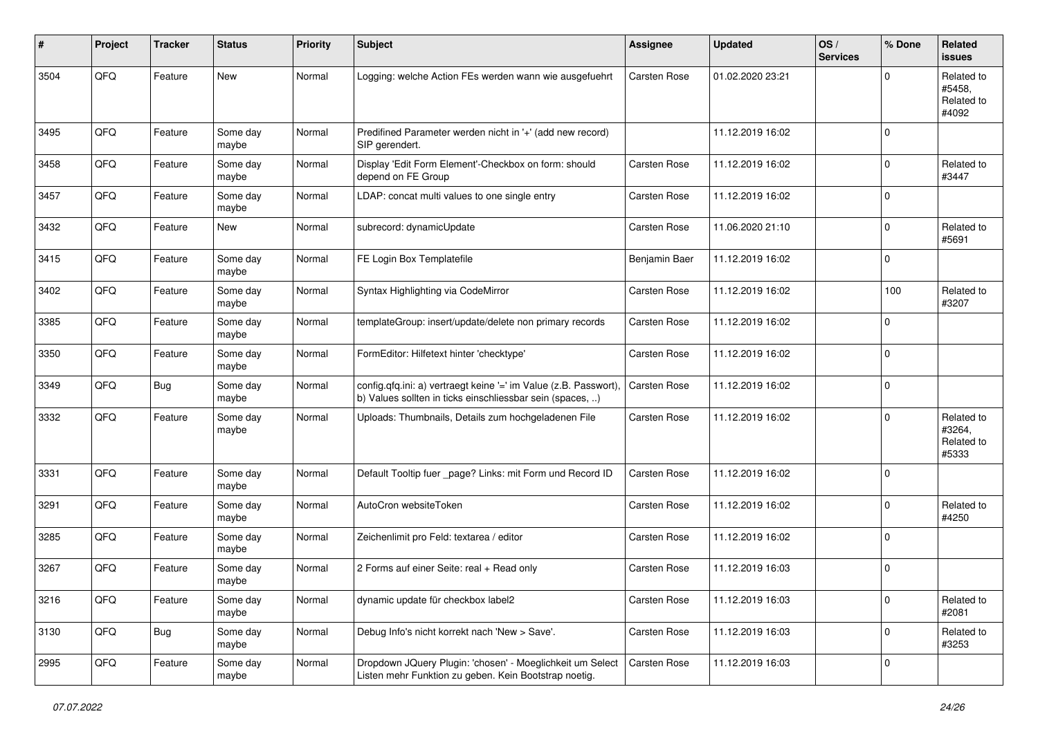| #    | Project | <b>Tracker</b> | <b>Status</b>     | <b>Priority</b> | Subject                                                                                                                       | <b>Assignee</b>     | <b>Updated</b>   | OS/<br><b>Services</b> | % Done         | Related<br>issues                           |
|------|---------|----------------|-------------------|-----------------|-------------------------------------------------------------------------------------------------------------------------------|---------------------|------------------|------------------------|----------------|---------------------------------------------|
| 3504 | QFQ     | Feature        | <b>New</b>        | Normal          | Logging: welche Action FEs werden wann wie ausgefuehrt                                                                        | Carsten Rose        | 01.02.2020 23:21 |                        | $\Omega$       | Related to<br>#5458,<br>Related to<br>#4092 |
| 3495 | QFQ     | Feature        | Some day<br>maybe | Normal          | Predifined Parameter werden nicht in '+' (add new record)<br>SIP gerendert.                                                   |                     | 11.12.2019 16:02 |                        | $\Omega$       |                                             |
| 3458 | QFQ     | Feature        | Some day<br>maybe | Normal          | Display 'Edit Form Element'-Checkbox on form: should<br>depend on FE Group                                                    | Carsten Rose        | 11.12.2019 16:02 |                        | $\mathbf 0$    | Related to<br>#3447                         |
| 3457 | QFQ     | Feature        | Some day<br>maybe | Normal          | LDAP: concat multi values to one single entry                                                                                 | <b>Carsten Rose</b> | 11.12.2019 16:02 |                        | 0              |                                             |
| 3432 | QFQ     | Feature        | New               | Normal          | subrecord: dynamicUpdate                                                                                                      | Carsten Rose        | 11.06.2020 21:10 |                        | $\Omega$       | Related to<br>#5691                         |
| 3415 | QFQ     | Feature        | Some day<br>maybe | Normal          | FE Login Box Templatefile                                                                                                     | Benjamin Baer       | 11.12.2019 16:02 |                        | $\Omega$       |                                             |
| 3402 | QFQ     | Feature        | Some day<br>maybe | Normal          | Syntax Highlighting via CodeMirror                                                                                            | Carsten Rose        | 11.12.2019 16:02 |                        | 100            | Related to<br>#3207                         |
| 3385 | QFQ     | Feature        | Some day<br>maybe | Normal          | templateGroup: insert/update/delete non primary records                                                                       | Carsten Rose        | 11.12.2019 16:02 |                        | $\mathbf 0$    |                                             |
| 3350 | QFQ     | Feature        | Some day<br>maybe | Normal          | FormEditor: Hilfetext hinter 'checktype'                                                                                      | Carsten Rose        | 11.12.2019 16:02 |                        | $\mathbf 0$    |                                             |
| 3349 | QFQ     | Bug            | Some day<br>maybe | Normal          | config.qfq.ini: a) vertraegt keine '=' im Value (z.B. Passwort),<br>b) Values sollten in ticks einschliessbar sein (spaces, ) | <b>Carsten Rose</b> | 11.12.2019 16:02 |                        | $\mathbf 0$    |                                             |
| 3332 | QFQ     | Feature        | Some day<br>maybe | Normal          | Uploads: Thumbnails, Details zum hochgeladenen File                                                                           | Carsten Rose        | 11.12.2019 16:02 |                        | $\Omega$       | Related to<br>#3264,<br>Related to<br>#5333 |
| 3331 | QFQ     | Feature        | Some day<br>maybe | Normal          | Default Tooltip fuer _page? Links: mit Form und Record ID                                                                     | Carsten Rose        | 11.12.2019 16:02 |                        | 0              |                                             |
| 3291 | QFQ     | Feature        | Some day<br>maybe | Normal          | AutoCron websiteToken                                                                                                         | Carsten Rose        | 11.12.2019 16:02 |                        | $\mathbf 0$    | Related to<br>#4250                         |
| 3285 | QFQ     | Feature        | Some day<br>maybe | Normal          | Zeichenlimit pro Feld: textarea / editor                                                                                      | Carsten Rose        | 11.12.2019 16:02 |                        | 0              |                                             |
| 3267 | QFQ     | Feature        | Some day<br>maybe | Normal          | 2 Forms auf einer Seite: real + Read only                                                                                     | Carsten Rose        | 11.12.2019 16:03 |                        | $\mathbf 0$    |                                             |
| 3216 | QFQ     | Feature        | Some day<br>maybe | Normal          | dynamic update für checkbox label2                                                                                            | Carsten Rose        | 11.12.2019 16:03 |                        | $\overline{0}$ | Related to<br>#2081                         |
| 3130 | QFQ     | <b>Bug</b>     | Some day<br>maybe | Normal          | Debug Info's nicht korrekt nach 'New > Save'.                                                                                 | Carsten Rose        | 11.12.2019 16:03 |                        | 0              | Related to<br>#3253                         |
| 2995 | QFQ     | Feature        | Some day<br>maybe | Normal          | Dropdown JQuery Plugin: 'chosen' - Moeglichkeit um Select<br>Listen mehr Funktion zu geben. Kein Bootstrap noetig.            | Carsten Rose        | 11.12.2019 16:03 |                        | 0              |                                             |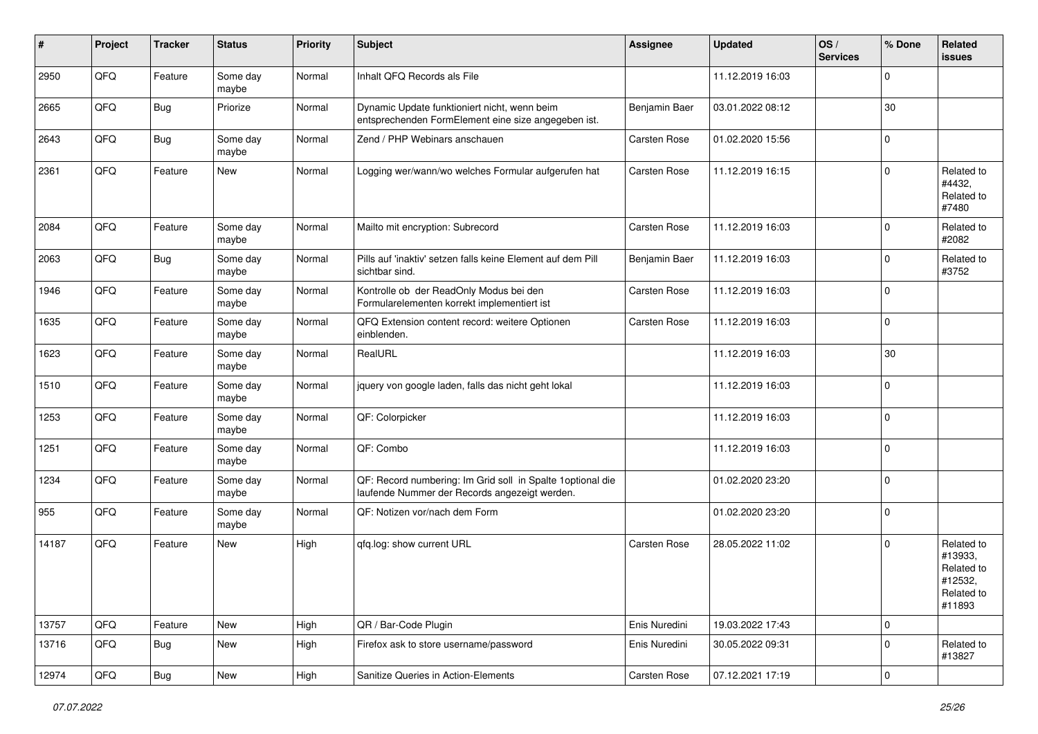| #     | Project | <b>Tracker</b> | <b>Status</b>     | <b>Priority</b> | <b>Subject</b>                                                                                               | <b>Assignee</b> | <b>Updated</b>   | OS/<br><b>Services</b> | % Done      | Related<br><b>issues</b>                                               |
|-------|---------|----------------|-------------------|-----------------|--------------------------------------------------------------------------------------------------------------|-----------------|------------------|------------------------|-------------|------------------------------------------------------------------------|
| 2950  | QFQ     | Feature        | Some day<br>maybe | Normal          | Inhalt QFQ Records als File                                                                                  |                 | 11.12.2019 16:03 |                        | $\Omega$    |                                                                        |
| 2665  | QFQ     | Bug            | Priorize          | Normal          | Dynamic Update funktioniert nicht, wenn beim<br>entsprechenden FormElement eine size angegeben ist.          | Benjamin Baer   | 03.01.2022 08:12 |                        | 30          |                                                                        |
| 2643  | QFQ     | Bug            | Some day<br>maybe | Normal          | Zend / PHP Webinars anschauen                                                                                | Carsten Rose    | 01.02.2020 15:56 |                        | $\mathbf 0$ |                                                                        |
| 2361  | QFQ     | Feature        | New               | Normal          | Logging wer/wann/wo welches Formular aufgerufen hat                                                          | Carsten Rose    | 11.12.2019 16:15 |                        | $\mathbf 0$ | Related to<br>#4432,<br>Related to<br>#7480                            |
| 2084  | QFQ     | Feature        | Some day<br>maybe | Normal          | Mailto mit encryption: Subrecord                                                                             | Carsten Rose    | 11.12.2019 16:03 |                        | $\Omega$    | Related to<br>#2082                                                    |
| 2063  | QFQ     | Bug            | Some day<br>maybe | Normal          | Pills auf 'inaktiv' setzen falls keine Element auf dem Pill<br>sichtbar sind.                                | Benjamin Baer   | 11.12.2019 16:03 |                        | $\mathbf 0$ | Related to<br>#3752                                                    |
| 1946  | QFQ     | Feature        | Some day<br>maybe | Normal          | Kontrolle ob der ReadOnly Modus bei den<br>Formularelementen korrekt implementiert ist                       | Carsten Rose    | 11.12.2019 16:03 |                        | $\mathbf 0$ |                                                                        |
| 1635  | QFQ     | Feature        | Some day<br>maybe | Normal          | QFQ Extension content record: weitere Optionen<br>einblenden.                                                | Carsten Rose    | 11.12.2019 16:03 |                        | 0           |                                                                        |
| 1623  | QFQ     | Feature        | Some day<br>maybe | Normal          | RealURL                                                                                                      |                 | 11.12.2019 16:03 |                        | 30          |                                                                        |
| 1510  | QFQ     | Feature        | Some day<br>maybe | Normal          | jquery von google laden, falls das nicht geht lokal                                                          |                 | 11.12.2019 16:03 |                        | $\mathbf 0$ |                                                                        |
| 1253  | QFQ     | Feature        | Some day<br>maybe | Normal          | QF: Colorpicker                                                                                              |                 | 11.12.2019 16:03 |                        | 0           |                                                                        |
| 1251  | QFQ     | Feature        | Some day<br>maybe | Normal          | QF: Combo                                                                                                    |                 | 11.12.2019 16:03 |                        | $\mathbf 0$ |                                                                        |
| 1234  | QFQ     | Feature        | Some day<br>maybe | Normal          | QF: Record numbering: Im Grid soll in Spalte 1 optional die<br>laufende Nummer der Records angezeigt werden. |                 | 01.02.2020 23:20 |                        | $\mathbf 0$ |                                                                        |
| 955   | QFQ     | Feature        | Some day<br>maybe | Normal          | QF: Notizen vor/nach dem Form                                                                                |                 | 01.02.2020 23:20 |                        | $\mathbf 0$ |                                                                        |
| 14187 | QFQ     | Feature        | New               | High            | qfq.log: show current URL                                                                                    | Carsten Rose    | 28.05.2022 11:02 |                        | 0           | Related to<br>#13933,<br>Related to<br>#12532,<br>Related to<br>#11893 |
| 13757 | QFQ     | Feature        | New               | High            | QR / Bar-Code Plugin                                                                                         | Enis Nuredini   | 19.03.2022 17:43 |                        | 0           |                                                                        |
| 13716 | QFQ     | <b>Bug</b>     | New               | High            | Firefox ask to store username/password                                                                       | Enis Nuredini   | 30.05.2022 09:31 |                        | $\mathbf 0$ | Related to<br>#13827                                                   |
| 12974 | QFQ     | <b>Bug</b>     | New               | High            | Sanitize Queries in Action-Elements                                                                          | Carsten Rose    | 07.12.2021 17:19 |                        | 0           |                                                                        |